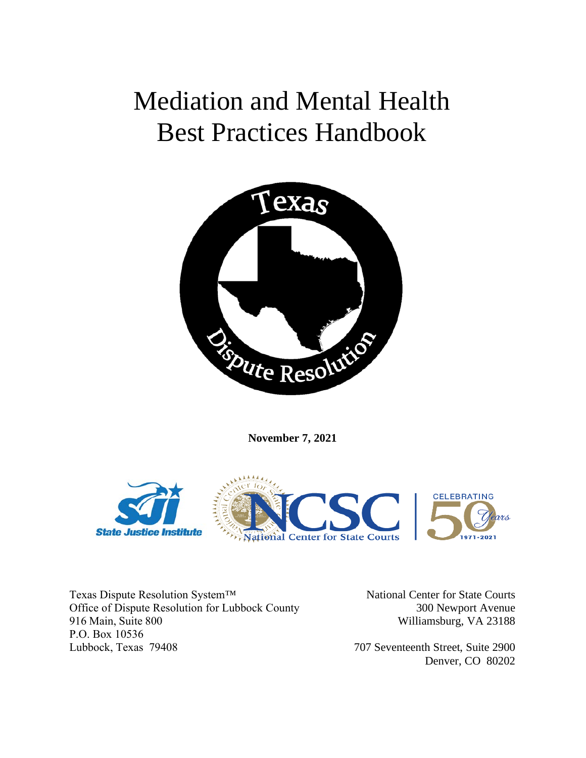# Mediation and Mental Health Best Practices Handbook



**November 7, 2021**



Texas Dispute Resolution System™ Office of Dispute Resolution for Lubbock County 916 Main, Suite 800 P.O. Box 10536 Lubbock, Texas 79408

National Center for State Courts 300 Newport Avenue Williamsburg, VA 23188

707 Seventeenth Street, Suite 2900 Denver, CO 80202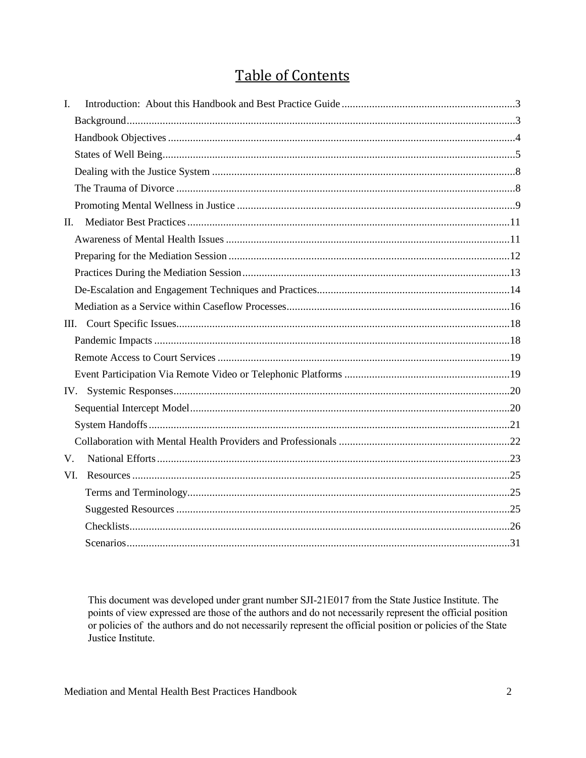# **Table of Contents**

| $I_{\cdot}$ |  |
|-------------|--|
|             |  |
|             |  |
|             |  |
|             |  |
|             |  |
|             |  |
| П.          |  |
|             |  |
|             |  |
|             |  |
|             |  |
|             |  |
|             |  |
|             |  |
|             |  |
|             |  |
|             |  |
|             |  |
|             |  |
|             |  |
| V.          |  |
| VI.         |  |
|             |  |
|             |  |
|             |  |
|             |  |

This document was developed under grant number SJI-21E017 from the State Justice Institute. The points of view expressed are those of the authors and do not necessarily represent the official position or policies of the authors and do not necessarily represent the official position or policies of the State Justice Institute.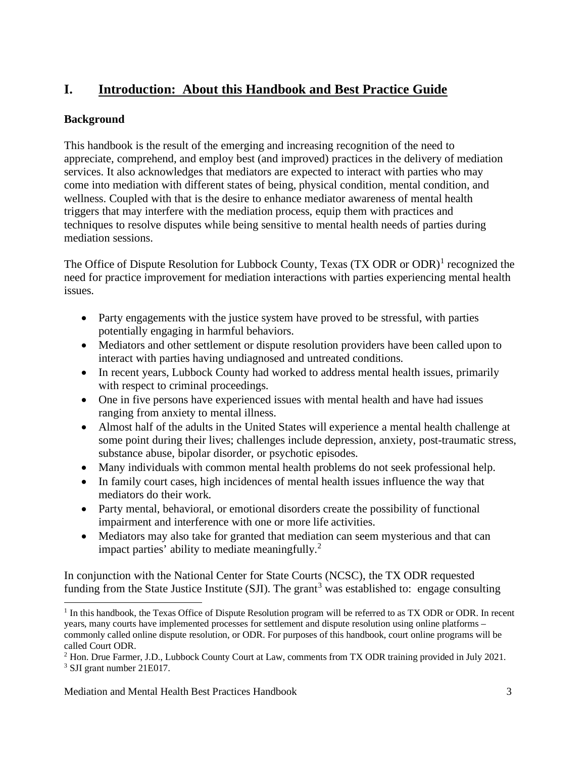# <span id="page-2-0"></span>**I. Introduction: About this Handbook and Best Practice Guide**

# <span id="page-2-1"></span>**Background**

This handbook is the result of the emerging and increasing recognition of the need to appreciate, comprehend, and employ best (and improved) practices in the delivery of mediation services. It also acknowledges that mediators are expected to interact with parties who may come into mediation with different states of being, physical condition, mental condition, and wellness. Coupled with that is the desire to enhance mediator awareness of mental health triggers that may interfere with the mediation process, equip them with practices and techniques to resolve disputes while being sensitive to mental health needs of parties during mediation sessions.

The Office of Dispute Resolution for Lubbock County, Texas (TX ODR or ODR)<sup>[1](#page-2-2)</sup> recognized the need for practice improvement for mediation interactions with parties experiencing mental health issues.

- Party engagements with the justice system have proved to be stressful, with parties potentially engaging in harmful behaviors.
- Mediators and other settlement or dispute resolution providers have been called upon to interact with parties having undiagnosed and untreated conditions.
- In recent years, Lubbock County had worked to address mental health issues, primarily with respect to criminal proceedings.
- One in five persons have experienced issues with mental health and have had issues ranging from anxiety to mental illness.
- Almost half of the adults in the United States will experience a mental health challenge at some point during their lives; challenges include depression, anxiety, post-traumatic stress, substance abuse, bipolar disorder, or psychotic episodes.
- Many individuals with common mental health problems do not seek professional help.
- In family court cases, high incidences of mental health issues influence the way that mediators do their work.
- Party mental, behavioral, or emotional disorders create the possibility of functional impairment and interference with one or more life activities.
- Mediators may also take for granted that mediation can seem mysterious and that can impact parties' ability to mediate meaningfully.[2](#page-2-3)

In conjunction with the National Center for State Courts (NCSC), the TX ODR requested funding from the State Justice Institute (SJI). The grant<sup>[3](#page-2-4)</sup> was established to: engage consulting

<span id="page-2-2"></span><sup>&</sup>lt;sup>1</sup> In this handbook, the Texas Office of Dispute Resolution program will be referred to as TX ODR or ODR. In recent years, many courts have implemented processes for settlement and dispute resolution using online platforms – commonly called online dispute resolution, or ODR. For purposes of this handbook, court online programs will be called Court ODR.

<span id="page-2-4"></span><span id="page-2-3"></span><sup>&</sup>lt;sup>2</sup> Hon. Drue Farmer, J.D., Lubbock County Court at Law, comments from TX ODR training provided in July 2021. <sup>3</sup> SJI grant number 21E017.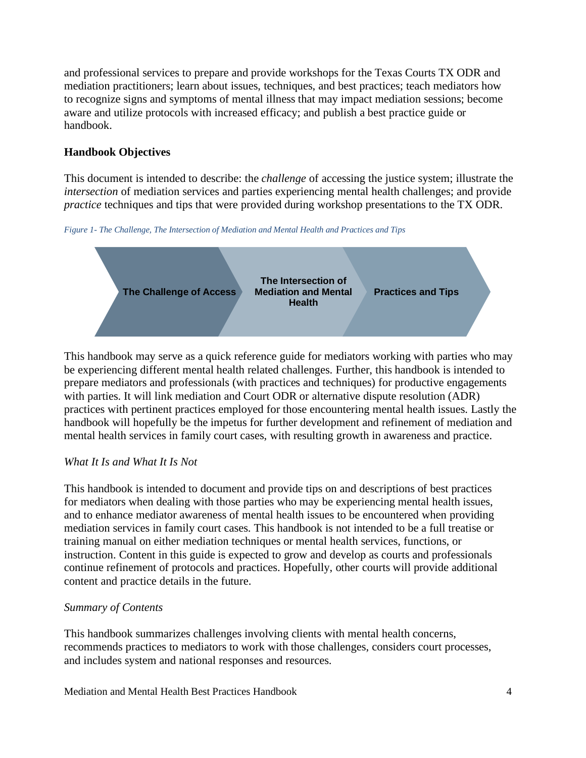and professional services to prepare and provide workshops for the Texas Courts TX ODR and mediation practitioners; learn about issues, techniques, and best practices; teach mediators how to recognize signs and symptoms of mental illness that may impact mediation sessions; become aware and utilize protocols with increased efficacy; and publish a best practice guide or handbook.

# <span id="page-3-0"></span>**Handbook Objectives**

This document is intended to describe: the *challenge* of accessing the justice system; illustrate the *intersection* of mediation services and parties experiencing mental health challenges; and provide *practice* techniques and tips that were provided during workshop presentations to the TX ODR.

*Figure 1- The Challenge, The Intersection of Mediation and Mental Health and Practices and Tips*



This handbook may serve as a quick reference guide for mediators working with parties who may be experiencing different mental health related challenges. Further, this handbook is intended to prepare mediators and professionals (with practices and techniques) for productive engagements with parties. It will link mediation and Court ODR or alternative dispute resolution (ADR) practices with pertinent practices employed for those encountering mental health issues. Lastly the handbook will hopefully be the impetus for further development and refinement of mediation and mental health services in family court cases, with resulting growth in awareness and practice.

# *What It Is and What It Is Not*

This handbook is intended to document and provide tips on and descriptions of best practices for mediators when dealing with those parties who may be experiencing mental health issues, and to enhance mediator awareness of mental health issues to be encountered when providing mediation services in family court cases. This handbook is not intended to be a full treatise or training manual on either mediation techniques or mental health services, functions, or instruction. Content in this guide is expected to grow and develop as courts and professionals continue refinement of protocols and practices. Hopefully, other courts will provide additional content and practice details in the future.

# *Summary of Contents*

This handbook summarizes challenges involving clients with mental health concerns, recommends practices to mediators to work with those challenges, considers court processes, and includes system and national responses and resources.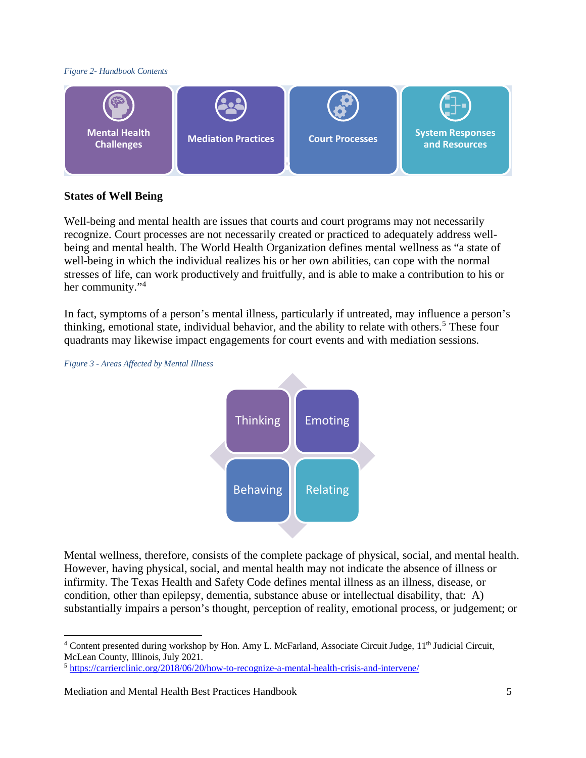#### *Figure 2- Handbook Contents*



## <span id="page-4-0"></span>**States of Well Being**

Well-being and mental health are issues that courts and court programs may not necessarily recognize. Court processes are not necessarily created or practiced to adequately address wellbeing and mental health. The World Health Organization defines mental wellness as "a state of well-being in which the individual realizes his or her own abilities, can cope with the normal stresses of life, can work productively and fruitfully, and is able to make a contribution to his or her community."<sup>[4](#page-4-1)</sup>

In fact, symptoms of a person's mental illness, particularly if untreated, may influence a person's thinking, emotional state, individual behavior, and the ability to relate with others.<sup>[5](#page-4-2)</sup> These four quadrants may likewise impact engagements for court events and with mediation sessions.



*Figure 3 - Areas Affected by Mental Illness*

Mental wellness, therefore, consists of the complete package of physical, social, and mental health. However, having physical, social, and mental health may not indicate the absence of illness or infirmity. The Texas Health and Safety Code defines mental illness as an illness, disease, or condition, other than epilepsy, dementia, substance abuse or intellectual disability, that: A) substantially impairs a person's thought, perception of reality, emotional process, or judgement; or

<span id="page-4-1"></span><sup>&</sup>lt;sup>4</sup> Content presented during workshop by Hon. Amy L. McFarland, Associate Circuit Judge, 11<sup>th</sup> Judicial Circuit, McLean County, Illinois, July 2021.

<span id="page-4-2"></span><sup>5</sup> <https://carrierclinic.org/2018/06/20/how-to-recognize-a-mental-health-crisis-and-intervene/>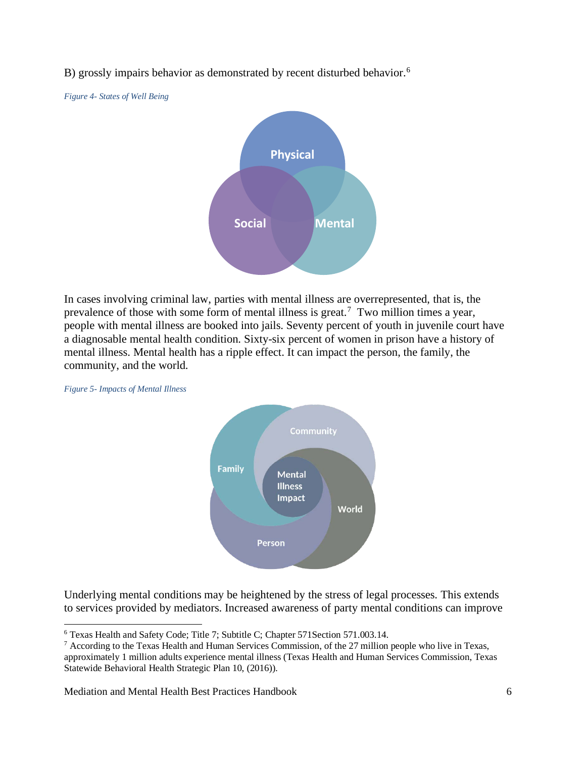B) grossly impairs behavior as demonstrated by recent disturbed behavior.<sup>[6](#page-5-0)</sup>

*Figure 4- States of Well Being*



In cases involving criminal law, parties with mental illness are overrepresented, that is, the prevalence of those with some form of mental illness is great.<sup>[7](#page-5-1)</sup> Two million times a year, people with mental illness are booked into jails. Seventy percent of youth in juvenile court have a diagnosable mental health condition. Sixty-six percent of women in prison have a history of mental illness. Mental health has a ripple effect. It can impact the person, the family, the community, and the world.



*Figure 5- Impacts of Mental Illness*

Underlying mental conditions may be heightened by the stress of legal processes. This extends to services provided by mediators. Increased awareness of party mental conditions can improve

Mediation and Mental Health Best Practices Handbook 6

<span id="page-5-0"></span><sup>6</sup> Texas Health and Safety Code; Title 7; Subtitle C; Chapter 571Section 571.003.14.

<span id="page-5-1"></span> $7$  According to the Texas Health and Human Services Commission, of the 27 million people who live in Texas, approximately 1 million adults experience mental illness (Texas Health and Human Services Commission, Texas Statewide Behavioral Health Strategic Plan 10, (2016)).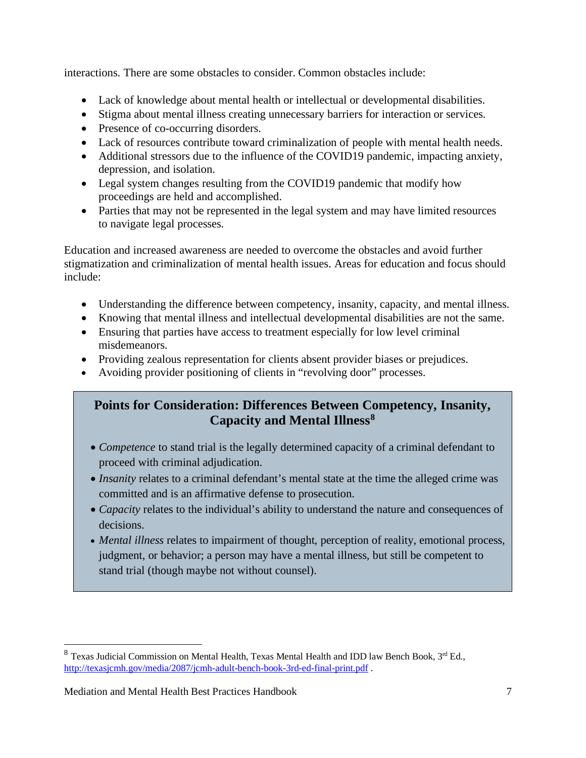interactions. There are some obstacles to consider. Common obstacles include:

- Lack of knowledge about mental health or intellectual or developmental disabilities.
- Stigma about mental illness creating unnecessary barriers for interaction or services.
- Presence of co-occurring disorders.
- Lack of resources contribute toward criminalization of people with mental health needs.
- Additional stressors due to the influence of the COVID19 pandemic, impacting anxiety, depression, and isolation.
- Legal system changes resulting from the COVID19 pandemic that modify how proceedings are held and accomplished.
- Parties that may not be represented in the legal system and may have limited resources to navigate legal processes.

Education and increased awareness are needed to overcome the obstacles and avoid further stigmatization and criminalization of mental health issues. Areas for education and focus should include:

- Understanding the difference between competency, insanity, capacity, and mental illness.
- Knowing that mental illness and intellectual developmental disabilities are not the same.
- Ensuring that parties have access to treatment especially for low level criminal misdemeanors.
- Providing zealous representation for clients absent provider biases or prejudices.
- Avoiding provider positioning of clients in "revolving door" processes.

# **Points for Consideration: Differences Between Competency, Insanity, Capacity and Mental Illness[8](#page-6-0)**

- *Competence* to stand trial is the legally determined capacity of a criminal defendant to proceed with criminal adjudication.
- *Insanity* relates to a criminal defendant's mental state at the time the alleged crime was committed and is an affirmative defense to prosecution.
- *Capacity* relates to the individual's ability to understand the nature and consequences of decisions.
- *Mental illness* relates to impairment of thought, perception of reality, emotional process, judgment, or behavior; a person may have a mental illness, but still be competent to stand trial (though maybe not without counsel).

<span id="page-6-0"></span> $8$  Texas Judicial Commission on Mental Health, Texas Mental Health and IDD law Bench Book,  $3<sup>rd</sup>$  Ed., <http://texasjcmh.gov/media/2087/jcmh-adult-bench-book-3rd-ed-final-print.pdf>.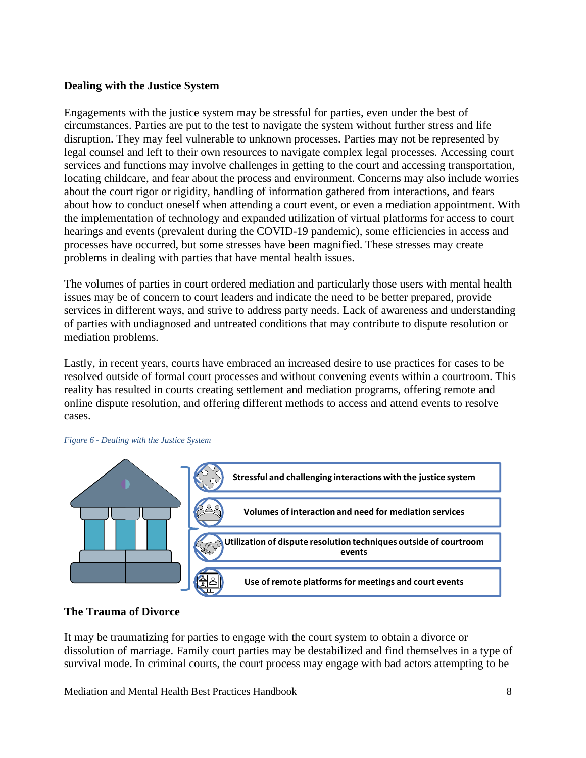## <span id="page-7-0"></span>**Dealing with the Justice System**

Engagements with the justice system may be stressful for parties, even under the best of circumstances. Parties are put to the test to navigate the system without further stress and life disruption. They may feel vulnerable to unknown processes. Parties may not be represented by legal counsel and left to their own resources to navigate complex legal processes. Accessing court services and functions may involve challenges in getting to the court and accessing transportation, locating childcare, and fear about the process and environment. Concerns may also include worries about the court rigor or rigidity, handling of information gathered from interactions, and fears about how to conduct oneself when attending a court event, or even a mediation appointment. With the implementation of technology and expanded utilization of virtual platforms for access to court hearings and events (prevalent during the COVID-19 pandemic), some efficiencies in access and processes have occurred, but some stresses have been magnified. These stresses may create problems in dealing with parties that have mental health issues.

The volumes of parties in court ordered mediation and particularly those users with mental health issues may be of concern to court leaders and indicate the need to be better prepared, provide services in different ways, and strive to address party needs. Lack of awareness and understanding of parties with undiagnosed and untreated conditions that may contribute to dispute resolution or mediation problems.

Lastly, in recent years, courts have embraced an increased desire to use practices for cases to be resolved outside of formal court processes and without convening events within a courtroom. This reality has resulted in courts creating settlement and mediation programs, offering remote and online dispute resolution, and offering different methods to access and attend events to resolve cases.



#### *Figure 6 - Dealing with the Justice System*

#### <span id="page-7-1"></span>**The Trauma of Divorce**

It may be traumatizing for parties to engage with the court system to obtain a divorce or dissolution of marriage. Family court parties may be destabilized and find themselves in a type of survival mode. In criminal courts, the court process may engage with bad actors attempting to be

Mediation and Mental Health Best Practices Handbook 8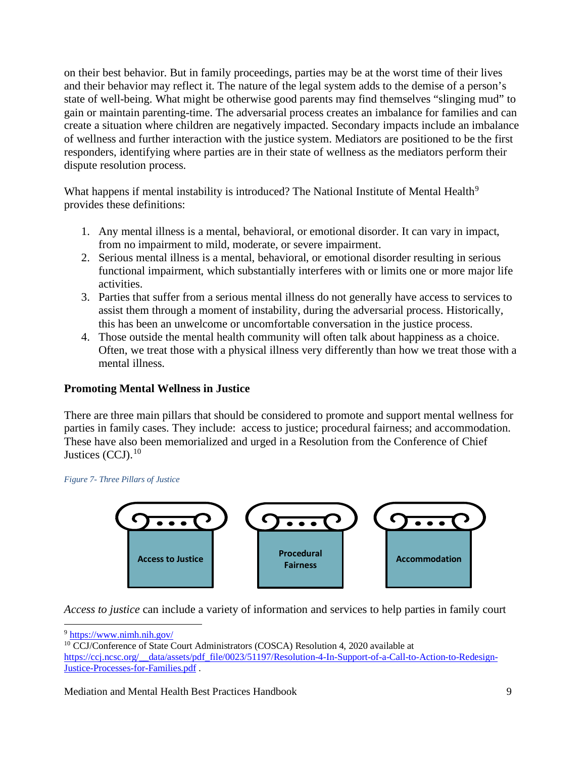on their best behavior. But in family proceedings, parties may be at the worst time of their lives and their behavior may reflect it. The nature of the legal system adds to the demise of a person's state of well-being. What might be otherwise good parents may find themselves "slinging mud" to gain or maintain parenting-time. The adversarial process creates an imbalance for families and can create a situation where children are negatively impacted. Secondary impacts include an imbalance of wellness and further interaction with the justice system. Mediators are positioned to be the first responders, identifying where parties are in their state of wellness as the mediators perform their dispute resolution process.

What happens if mental instability is introduced? The National Institute of Mental Health<sup>[9](#page-8-1)</sup> provides these definitions:

- 1. Any mental illness is a mental, behavioral, or emotional disorder. It can vary in impact, from no impairment to mild, moderate, or severe impairment.
- 2. Serious mental illness is a mental, behavioral, or emotional disorder resulting in serious functional impairment, which substantially interferes with or limits one or more major life activities.
- 3. Parties that suffer from a serious mental illness do not generally have access to services to assist them through a moment of instability, during the adversarial process. Historically, this has been an unwelcome or uncomfortable conversation in the justice process.
- 4. Those outside the mental health community will often talk about happiness as a choice. Often, we treat those with a physical illness very differently than how we treat those with a mental illness.

# <span id="page-8-0"></span>**Promoting Mental Wellness in Justice**

There are three main pillars that should be considered to promote and support mental wellness for parties in family cases. They include: access to justice; procedural fairness; and accommodation. These have also been memorialized and urged in a Resolution from the Conference of Chief Justices (CCJ).<sup>[10](#page-8-2)</sup>

*Figure 7- Three Pillars of Justice*



*Access to justice* can include a variety of information and services to help parties in family court

<span id="page-8-2"></span><span id="page-8-1"></span>

Mediation and Mental Health Best Practices Handbook 9

 $9 \frac{\text{https://www.nimh.nih.gov/}}{10 \text{CCJ/Conference of State Court Administrators (COSCA) Resolution 4, 2020 available at}}$ [https://ccj.ncsc.org/\\_\\_data/assets/pdf\\_file/0023/51197/Resolution-4-In-Support-of-a-Call-to-Action-to-Redesign-](https://ccj.ncsc.org/__data/assets/pdf_file/0023/51197/Resolution-4-In-Support-of-a-Call-to-Action-to-Redesign-Justice-Processes-for-Families.pdf)[Justice-Processes-for-Families.pdf](https://ccj.ncsc.org/__data/assets/pdf_file/0023/51197/Resolution-4-In-Support-of-a-Call-to-Action-to-Redesign-Justice-Processes-for-Families.pdf) .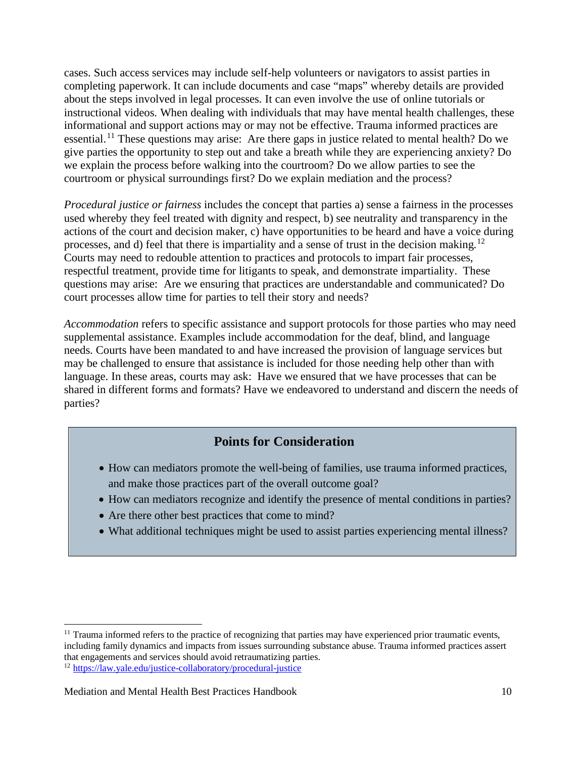cases. Such access services may include self-help volunteers or navigators to assist parties in completing paperwork. It can include documents and case "maps" whereby details are provided about the steps involved in legal processes. It can even involve the use of online tutorials or instructional videos. When dealing with individuals that may have mental health challenges, these informational and support actions may or may not be effective. Trauma informed practices are essential.<sup>[11](#page-9-0)</sup> These questions may arise: Are there gaps in justice related to mental health? Do we give parties the opportunity to step out and take a breath while they are experiencing anxiety? Do we explain the process before walking into the courtroom? Do we allow parties to see the courtroom or physical surroundings first? Do we explain mediation and the process?

*Procedural justice or fairness* includes the concept that parties a) sense a fairness in the processes used whereby they feel treated with dignity and respect, b) see neutrality and transparency in the actions of the court and decision maker, c) have opportunities to be heard and have a voice during processes, and d) feel that there is impartiality and a sense of trust in the decision making.<sup>12</sup> Courts may need to redouble attention to practices and protocols to impart fair processes, respectful treatment, provide time for litigants to speak, and demonstrate impartiality. These questions may arise: Are we ensuring that practices are understandable and communicated? Do court processes allow time for parties to tell their story and needs?

*Accommodation* refers to specific assistance and support protocols for those parties who may need supplemental assistance. Examples include accommodation for the deaf, blind, and language needs. Courts have been mandated to and have increased the provision of language services but may be challenged to ensure that assistance is included for those needing help other than with language. In these areas, courts may ask: Have we ensured that we have processes that can be shared in different forms and formats? Have we endeavored to understand and discern the needs of parties?

# **Points for Consideration**

- How can mediators promote the well-being of families, use trauma informed practices, and make those practices part of the overall outcome goal?
- How can mediators recognize and identify the presence of mental conditions in parties?
- Are there other best practices that come to mind?
- What additional techniques might be used to assist parties experiencing mental illness?

<span id="page-9-0"></span><sup>&</sup>lt;sup>11</sup> Trauma informed refers to the practice of recognizing that parties may have experienced prior traumatic events, including family dynamics and impacts from issues surrounding substance abuse. Trauma informed practices assert that engagements and services should avoid retraumatizing parties.

<span id="page-9-1"></span><sup>12</sup> <https://law.yale.edu/justice-collaboratory/procedural-justice>

Mediation and Mental Health Best Practices Handbook 10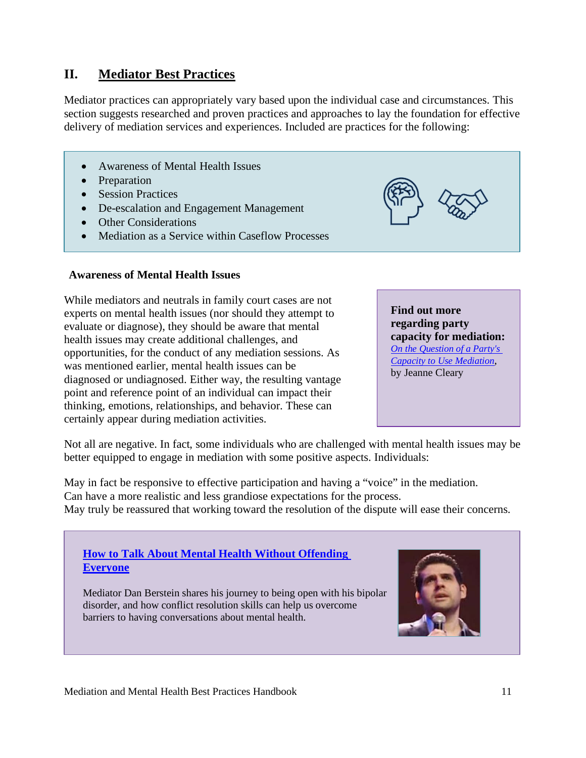# <span id="page-10-0"></span>**II. Mediator Best Practices**

Mediator practices can appropriately vary based upon the individual case and circumstances. This section suggests researched and proven practices and approaches to lay the foundation for effective delivery of mediation services and experiences. Included are practices for the following:

- Awareness of Mental Health Issues
- Preparation
- Session Practices
- De-escalation and Engagement Management
- Other Considerations
- Mediation as a Service within Caseflow Processes

## <span id="page-10-1"></span>**Awareness of Mental Health Issues**

While mediators and neutrals in family court cases are not experts on mental health issues (nor should they attempt to evaluate or diagnose), they should be aware that mental health issues may create additional challenges, and opportunities, for the conduct of any mediation sessions. As was mentioned earlier, mental health issues can be diagnosed or undiagnosed. Either way, the resulting vantage point and reference point of an individual can impact their thinking, emotions, relationships, and behavior. These can certainly appear during mediation activities.

**Find out more regarding party capacity for mediation:** *[On the Question of a Party's](https://www.mediate.com/articles/ClearyJ2.cfm)  [Capacity to Use Mediation](https://www.mediate.com/articles/ClearyJ2.cfm)*, by Jeanne Cleary

Not all are negative. In fact, some individuals who are challenged with mental health issues may be better equipped to engage in mediation with some positive aspects. Individuals:

May in fact be responsive to effective participation and having a "voice" in the mediation. Can have a more realistic and less grandiose expectations for the process. May truly be reassured that working toward the resolution of the dispute will ease their concerns.

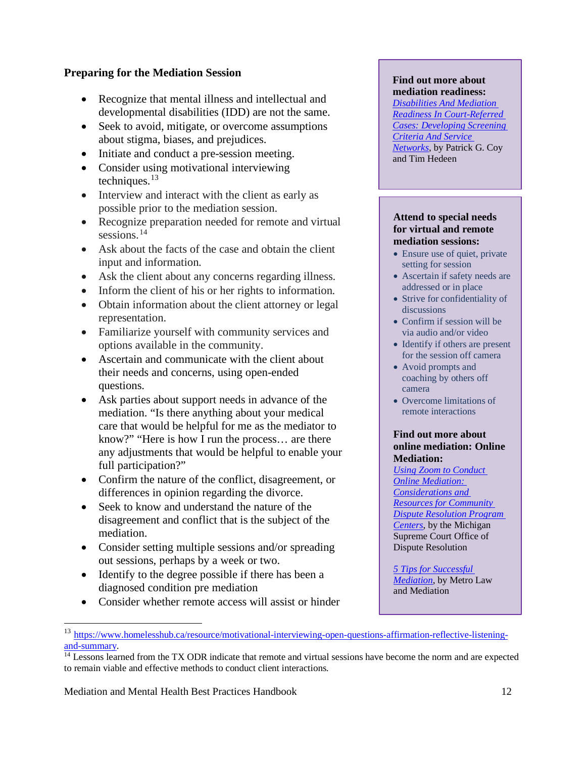## <span id="page-11-0"></span>**Preparing for the Mediation Session**

- Recognize that mental illness and intellectual and developmental disabilities (IDD) are not the same.
- Seek to avoid, mitigate, or overcome assumptions about stigma, biases, and prejudices.
- Initiate and conduct a pre-session meeting.
- Consider using motivational interviewing techniques. $13$
- Interview and interact with the client as early as possible prior to the mediation session.
- Recognize preparation needed for remote and virtual sessions.<sup>[14](#page-11-2)</sup>
- Ask about the facts of the case and obtain the client input and information.
- Ask the client about any concerns regarding illness.
- Inform the client of his or her rights to information.
- Obtain information about the client attorney or legal representation.
- Familiarize yourself with community services and options available in the community.
- Ascertain and communicate with the client about their needs and concerns, using open-ended questions.
- Ask parties about support needs in advance of the mediation. "Is there anything about your medical care that would be helpful for me as the mediator to know?" "Here is how I run the process… are there any adjustments that would be helpful to enable your full participation?"
- Confirm the nature of the conflict, disagreement, or differences in opinion regarding the divorce.
- Seek to know and understand the nature of the disagreement and conflict that is the subject of the mediation.
- Consider setting multiple sessions and/or spreading out sessions, perhaps by a week or two.
- Identify to the degree possible if there has been a diagnosed condition pre mediation
- Consider whether remote access will assist or hinder

#### **Find out more about mediation readiness:**

*[Disabilities And Mediation](https://www.mediate.com/articles/cohed1.cfm)  [Readiness In Court-Referred](https://www.mediate.com/articles/cohed1.cfm)  Cases: [Developing Screening](https://www.mediate.com/articles/cohed1.cfm)  [Criteria And Service](https://www.mediate.com/articles/cohed1.cfm)  [Networks](https://www.mediate.com/articles/cohed1.cfm)*, by Patrick G. Coy and Tim Hedeen

#### **Attend to special needs for virtual and remote mediation sessions:**

- Ensure use of quiet, private setting for session
- Ascertain if safety needs are addressed or in place
- Strive for confidentiality of discussions
- Confirm if session will be via audio and/or video
- Identify if others are present for the session off camera
- Avoid prompts and coaching by others off camera
- Overcome limitations of remote interactions

#### **Find out more about online mediation: Online Mediation:**

*[Using Zoom to Conduct](https://www.courts.michigan.gov/siteassets/odr-temporary/documents/zoom-online-mediation-considerations-v1.pdf/?404%3bhttps%3a%2f%2fmisc01mstrtu25qprod__d17f%3a80%2fAdministration%2fSCAO%2fOfficesPrograms%2fODR%2fDocuments%2fZoom+Online-Mediation+Considerations+v1.pdf=&r=1)  [Online Mediation:](https://www.courts.michigan.gov/siteassets/odr-temporary/documents/zoom-online-mediation-considerations-v1.pdf/?404%3bhttps%3a%2f%2fmisc01mstrtu25qprod__d17f%3a80%2fAdministration%2fSCAO%2fOfficesPrograms%2fODR%2fDocuments%2fZoom+Online-Mediation+Considerations+v1.pdf=&r=1)  [Considerations and](https://www.courts.michigan.gov/siteassets/odr-temporary/documents/zoom-online-mediation-considerations-v1.pdf/?404%3bhttps%3a%2f%2fmisc01mstrtu25qprod__d17f%3a80%2fAdministration%2fSCAO%2fOfficesPrograms%2fODR%2fDocuments%2fZoom+Online-Mediation+Considerations+v1.pdf=&r=1)  [Resources for Community](https://www.courts.michigan.gov/siteassets/odr-temporary/documents/zoom-online-mediation-considerations-v1.pdf/?404%3bhttps%3a%2f%2fmisc01mstrtu25qprod__d17f%3a80%2fAdministration%2fSCAO%2fOfficesPrograms%2fODR%2fDocuments%2fZoom+Online-Mediation+Considerations+v1.pdf=&r=1)  [Dispute Resolution Program](https://www.courts.michigan.gov/siteassets/odr-temporary/documents/zoom-online-mediation-considerations-v1.pdf/?404%3bhttps%3a%2f%2fmisc01mstrtu25qprod__d17f%3a80%2fAdministration%2fSCAO%2fOfficesPrograms%2fODR%2fDocuments%2fZoom+Online-Mediation+Considerations+v1.pdf=&r=1)  [Centers](https://www.courts.michigan.gov/siteassets/odr-temporary/documents/zoom-online-mediation-considerations-v1.pdf/?404%3bhttps%3a%2f%2fmisc01mstrtu25qprod__d17f%3a80%2fAdministration%2fSCAO%2fOfficesPrograms%2fODR%2fDocuments%2fZoom+Online-Mediation+Considerations+v1.pdf=&r=1)*, by the Michigan Supreme Court Office of Dispute Resolution

*[5 Tips for Successful](https://metroattorneymn.com/5-tips-for-successful-mediation/)  [Mediation](https://metroattorneymn.com/5-tips-for-successful-mediation/)*, by Metro Law and Mediation

Mediation and Mental Health Best Practices Handbook 12

<span id="page-11-1"></span><sup>&</sup>lt;sup>13</sup> [https://www.homelesshub.ca/resource/motivational-interviewing-open-questions-affirmation-reflective-listening](https://www.homelesshub.ca/resource/motivational-interviewing-open-questions-affirmation-reflective-listening-and-summary)[and-summary.](https://www.homelesshub.ca/resource/motivational-interviewing-open-questions-affirmation-reflective-listening-and-summary)

<span id="page-11-2"></span><sup>&</sup>lt;sup>14</sup> Lessons learned from the TX ODR indicate that remote and virtual sessions have become the norm and are expected to remain viable and effective methods to conduct client interactions.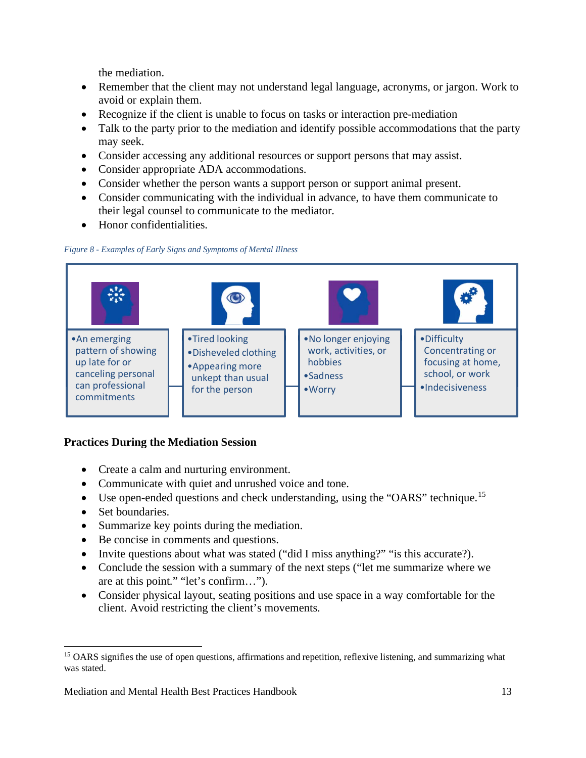the mediation.

- Remember that the client may not understand legal language, acronyms, or jargon. Work to avoid or explain them.
- Recognize if the client is unable to focus on tasks or interaction pre-mediation
- Talk to the party prior to the mediation and identify possible accommodations that the party may seek.
- Consider accessing any additional resources or support persons that may assist.
- Consider appropriate ADA accommodations.
- Consider whether the person wants a support person or support animal present.
- Consider communicating with the individual in advance, to have them communicate to their legal counsel to communicate to the mediator.
- Honor confidentialities.





# <span id="page-12-0"></span>**Practices During the Mediation Session**

- Create a calm and nurturing environment.
- Communicate with quiet and unrushed voice and tone.
- Use open-ended questions and check understanding, using the "OARS" technique.<sup>[15](#page-12-1)</sup>
- Set boundaries.
- Summarize key points during the mediation.
- Be concise in comments and questions.
- Invite questions about what was stated ("did I miss anything?" "is this accurate?).
- Conclude the session with a summary of the next steps ("let me summarize where we are at this point." "let's confirm…").
- Consider physical layout, seating positions and use space in a way comfortable for the client. Avoid restricting the client's movements.

<span id="page-12-1"></span><sup>&</sup>lt;sup>15</sup> OARS signifies the use of open questions, affirmations and repetition, reflexive listening, and summarizing what was stated.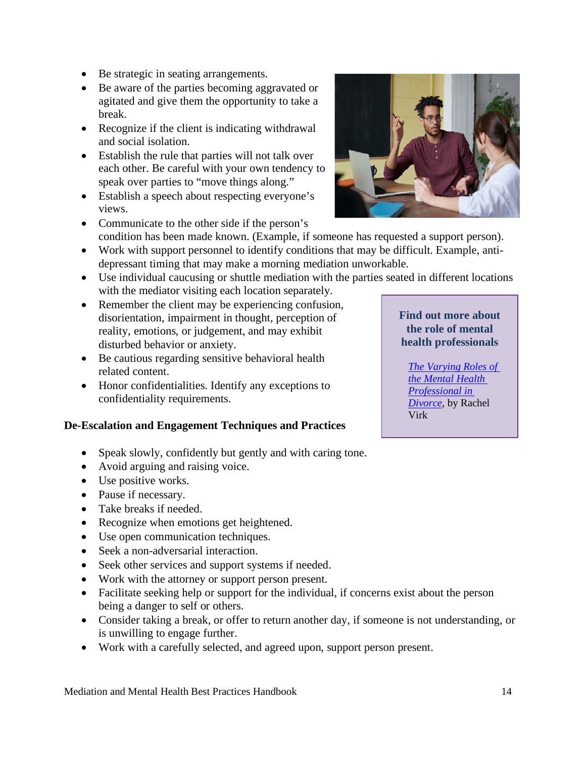- Be strategic in seating arrangements.
- Be aware of the parties becoming aggravated or agitated and give them the opportunity to take a break.
- Recognize if the client is indicating withdrawal and social isolation.
- Establish the rule that parties will not talk over each other. Be careful with your own tendency to speak over parties to "move things along."
- Establish a speech about respecting everyone's views.
- Communicate to the other side if the person's condition has been made known. (Example, if someone has requested a support person).
- Work with support personnel to identify conditions that may be difficult. Example, antidepressant timing that may make a morning mediation unworkable.
- Use individual caucusing or shuttle mediation with the parties seated in different locations with the mediator visiting each location separately.
- Remember the client may be experiencing confusion, disorientation, impairment in thought, perception of reality, emotions, or judgement, and may exhibit disturbed behavior or anxiety.
- Be cautious regarding sensitive behavioral health related content.
- Honor confidentialities. Identify any exceptions to confidentiality requirements.

#### <span id="page-13-0"></span>**De-Escalation and Engagement Techniques and Practices**

- Speak slowly, confidently but gently and with caring tone.
- Avoid arguing and raising voice.
- Use positive works.
- Pause if necessary.
- Take breaks if needed.
- Recognize when emotions get heightened.
- Use open communication techniques.
- Seek a non-adversarial interaction.
- Seek other services and support systems if needed.
- Work with the attorney or support person present.
- Facilitate seeking help or support for the individual, if concerns exist about the person being a danger to self or others.
- Consider taking a break, or offer to return another day, if someone is not understanding, or is unwilling to engage further.
- Work with a carefully selected, and agreed upon, support person present.

Mediation and Mental Health Best Practices Handbook 14



# **Find out more about the role of mental health professionals**

*[The Varying Roles of](https://www.mediate.com/articles/VirkR5.cfm)  [the Mental Health](https://www.mediate.com/articles/VirkR5.cfm)  [Professional in](https://www.mediate.com/articles/VirkR5.cfm)  [Divorce](https://www.mediate.com/articles/VirkR5.cfm)*, by Rachel Virk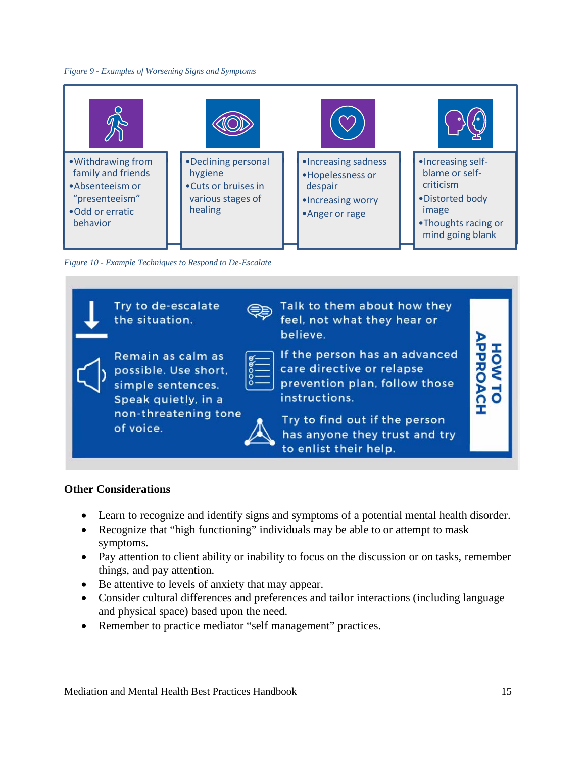#### *Figure 9 - Examples of Worsening Signs and Symptoms*



*Figure 10 - Example Techniques to Respond to De-Escalate*



#### **Other Considerations**

- Learn to recognize and identify signs and symptoms of a potential mental health disorder.
- Recognize that "high functioning" individuals may be able to or attempt to mask symptoms.
- Pay attention to client ability or inability to focus on the discussion or on tasks, remember things, and pay attention.
- Be attentive to levels of anxiety that may appear.
- Consider cultural differences and preferences and tailor interactions (including language and physical space) based upon the need.
- Remember to practice mediator "self management" practices.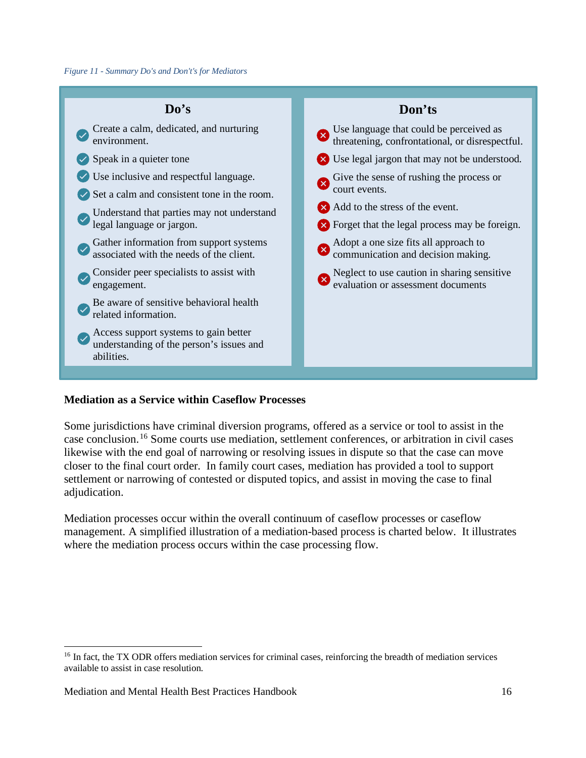

# <span id="page-15-0"></span>**Mediation as a Service within Caseflow Processes**

Some jurisdictions have criminal diversion programs, offered as a service or tool to assist in the case conclusion. [16](#page-15-1) Some courts use mediation, settlement conferences, or arbitration in civil cases likewise with the end goal of narrowing or resolving issues in dispute so that the case can move closer to the final court order. In family court cases, mediation has provided a tool to support settlement or narrowing of contested or disputed topics, and assist in moving the case to final adjudication.

Mediation processes occur within the overall continuum of caseflow processes or caseflow management. A simplified illustration of a mediation-based process is charted below. It illustrates where the mediation process occurs within the case processing flow.

<span id="page-15-1"></span><sup>&</sup>lt;sup>16</sup> In fact, the TX ODR offers mediation services for criminal cases, reinforcing the breadth of mediation services available to assist in case resolution.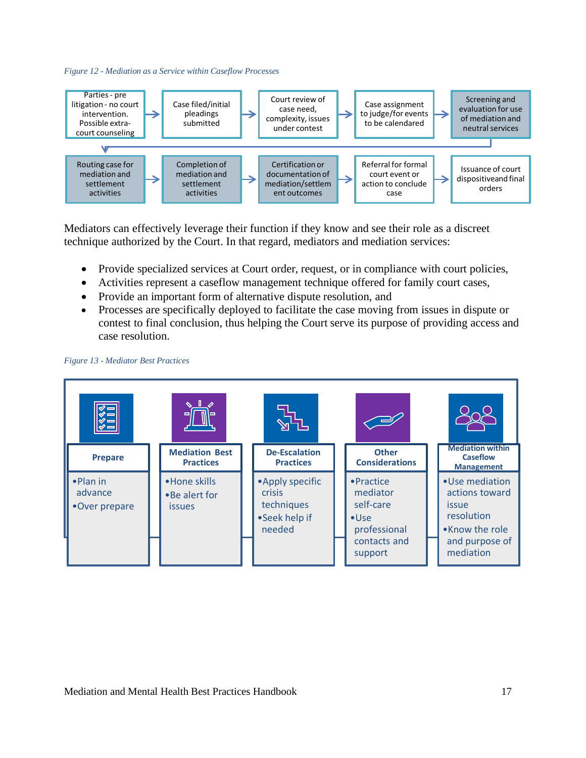



Mediators can effectively leverage their function if they know and see their role as a discreet technique authorized by the Court. In that regard, mediators and mediation services:

- Provide specialized services at Court order, request, or in compliance with court policies,
- Activities represent a caseflow management technique offered for family court cases,
- Provide an important form of alternative dispute resolution, and
- Processes are specifically deployed to facilitate the case moving from issues in dispute or contest to final conclusion, thus helping the Court serve its purpose of providing access and case resolution.



#### *Figure 13 - Mediator Best Practices*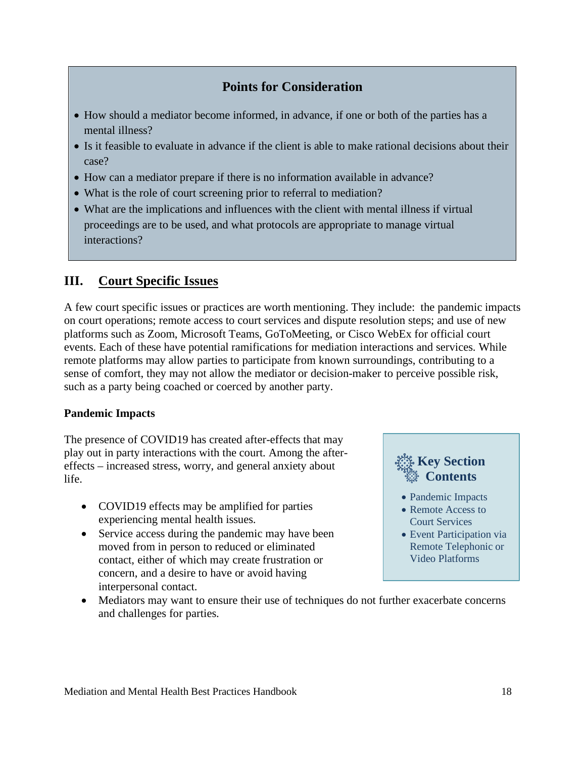# **Points for Consideration**

- How should a mediator become informed, in advance, if one or both of the parties has a mental illness?
- Is it feasible to evaluate in advance if the client is able to make rational decisions about their case?
- How can a mediator prepare if there is no information available in advance?
- What is the role of court screening prior to referral to mediation?
- What are the implications and influences with the client with mental illness if virtual proceedings are to be used, and what protocols are appropriate to manage virtual interactions?

# <span id="page-17-0"></span>**III. Court Specific Issues**

A few court specific issues or practices are worth mentioning. They include: the pandemic impacts on court operations; remote access to court services and dispute resolution steps; and use of new platforms such as Zoom, Microsoft Teams, GoToMeeting, or Cisco WebEx for official court events. Each of these have potential ramifications for mediation interactions and services. While remote platforms may allow parties to participate from known surroundings, contributing to a sense of comfort, they may not allow the mediator or decision-maker to perceive possible risk, such as a party being coached or coerced by another party.

#### <span id="page-17-1"></span>**Pandemic Impacts**

The presence of COVID19 has created after-effects that may play out in party interactions with the court. Among the aftereffects – increased stress, worry, and general anxiety about life.

- COVID19 effects may be amplified for parties experiencing mental health issues.
- Service access during the pandemic may have been moved from in person to reduced or eliminated contact, either of which may create frustration or concern, and a desire to have or avoid having interpersonal contact.



- Remote Access to
- Court Services
- Event Participation via Remote Telephonic or Video Platforms
- Mediators may want to ensure their use of techniques do not further exacerbate concerns and challenges for parties.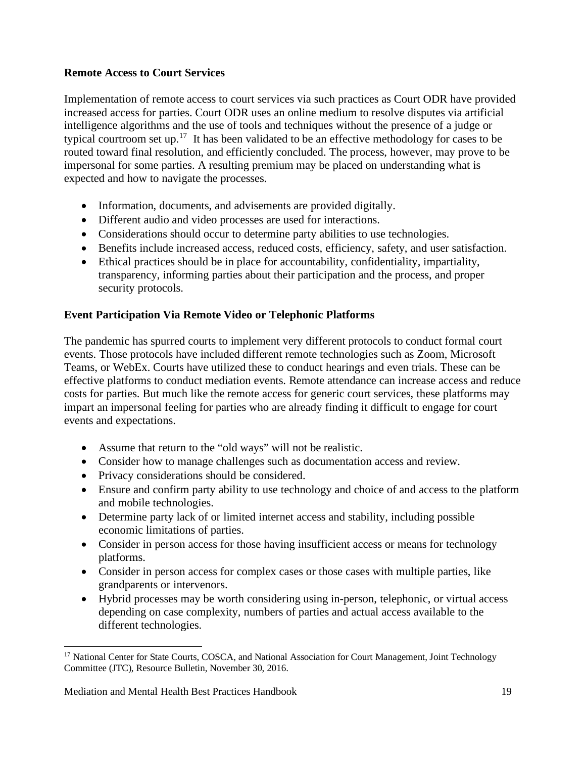# <span id="page-18-0"></span>**Remote Access to Court Services**

Implementation of remote access to court services via such practices as Court ODR have provided increased access for parties. Court ODR uses an online medium to resolve disputes via artificial intelligence algorithms and the use of tools and techniques without the presence of a judge or typical courtroom set up.<sup>17</sup> It has been validated to be an effective methodology for cases to be routed toward final resolution, and efficiently concluded. The process, however, may prove to be impersonal for some parties. A resulting premium may be placed on understanding what is expected and how to navigate the processes.

- Information, documents, and advisements are provided digitally.
- Different audio and video processes are used for interactions.
- Considerations should occur to determine party abilities to use technologies.
- Benefits include increased access, reduced costs, efficiency, safety, and user satisfaction.
- Ethical practices should be in place for accountability, confidentiality, impartiality, transparency, informing parties about their participation and the process, and proper security protocols.

# <span id="page-18-1"></span>**Event Participation Via Remote Video or Telephonic Platforms**

The pandemic has spurred courts to implement very different protocols to conduct formal court events. Those protocols have included different remote technologies such as Zoom, Microsoft Teams, or WebEx. Courts have utilized these to conduct hearings and even trials. These can be effective platforms to conduct mediation events. Remote attendance can increase access and reduce costs for parties. But much like the remote access for generic court services, these platforms may impart an impersonal feeling for parties who are already finding it difficult to engage for court events and expectations.

- Assume that return to the "old ways" will not be realistic.
- Consider how to manage challenges such as documentation access and review.
- Privacy considerations should be considered.
- Ensure and confirm party ability to use technology and choice of and access to the platform and mobile technologies.
- Determine party lack of or limited internet access and stability, including possible economic limitations of parties.
- Consider in person access for those having insufficient access or means for technology platforms.
- Consider in person access for complex cases or those cases with multiple parties, like grandparents or intervenors.
- Hybrid processes may be worth considering using in-person, telephonic, or virtual access depending on case complexity, numbers of parties and actual access available to the different technologies.

<span id="page-18-2"></span><sup>&</sup>lt;sup>17</sup> National Center for State Courts, COSCA, and National Association for Court Management, Joint Technology Committee (JTC), Resource Bulletin, November 30, 2016.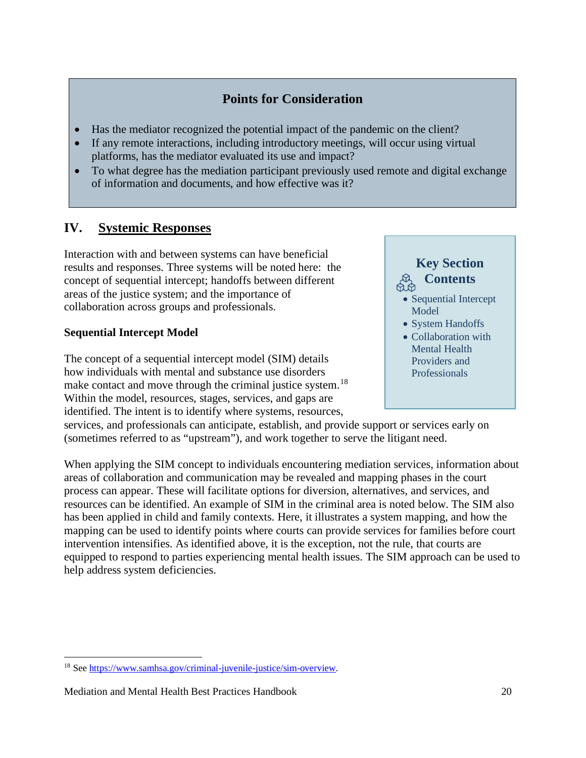# **Points for Consideration**

- Has the mediator recognized the potential impact of the pandemic on the client?
- If any remote interactions, including introductory meetings, will occur using virtual platforms, has the mediator evaluated its use and impact?
- To what degree has the mediation participant previously used remote and digital exchange of information and documents, and how effective was it?

# <span id="page-19-0"></span>**IV. Systemic Responses**

Interaction with and between systems can have beneficial results and responses. Three systems will be noted here: the concept of sequential intercept; handoffs between different areas of the justice system; and the importance of collaboration across groups and professionals.

# <span id="page-19-1"></span>**Sequential Intercept Model**

The concept of a sequential intercept model (SIM) details how individuals with mental and substance use disorders make contact and move through the criminal justice system.<sup>[18](#page-19-2)</sup> Within the model, resources, stages, services, and gaps are identified. The intent is to identify where systems, resources,

**Key Section Contents**

- Sequential Intercept Model
- System Handoffs
- Collaboration with Mental Health Providers and Professionals

services, and professionals can anticipate, establish, and provide support or services early on (sometimes referred to as "upstream"), and work together to serve the litigant need.

When applying the SIM concept to individuals encountering mediation services, information about areas of collaboration and communication may be revealed and mapping phases in the court process can appear. These will facilitate options for diversion, alternatives, and services, and resources can be identified. An example of SIM in the criminal area is noted below. The SIM also has been applied in child and family contexts. Here, it illustrates a system mapping, and how the mapping can be used to identify points where courts can provide services for families before court intervention intensifies. As identified above, it is the exception, not the rule, that courts are equipped to respond to parties experiencing mental health issues. The SIM approach can be used to help address system deficiencies.

<span id="page-19-2"></span><sup>18</sup> See [https://www.samhsa.gov/criminal-juvenile-justice/sim-overview.](https://www.samhsa.gov/criminal-juvenile-justice/sim-overview)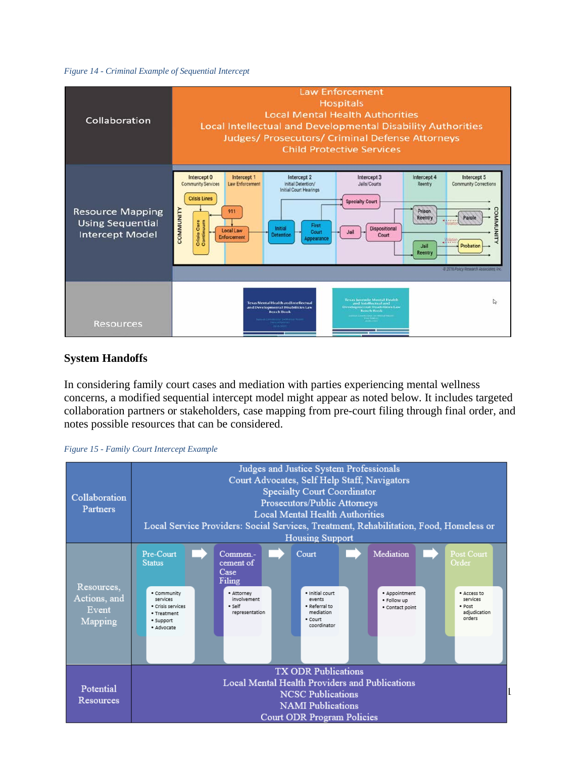#### *Figure 14 - Criminal Example of Sequential Intercept*

| Collaboration                                                                | <b>Law Enforcement</b><br><b>Hospitals</b><br><b>Local Mental Health Authorities</b><br><b>Local Intellectual and Developmental Disability Authorities</b><br><b>Judges/ Prosecutors/ Criminal Defense Attorneys</b><br><b>Child Protective Services</b>                                                                                                                                                                                                                                                                                                                       |
|------------------------------------------------------------------------------|--------------------------------------------------------------------------------------------------------------------------------------------------------------------------------------------------------------------------------------------------------------------------------------------------------------------------------------------------------------------------------------------------------------------------------------------------------------------------------------------------------------------------------------------------------------------------------|
| <b>Resource Mapping</b><br><b>Using Sequential</b><br><b>Intercept Model</b> | Intercept 0<br>Intercept 1<br>Intercept 2<br>Intercept 3<br>Intercept 4<br>Intercept 5<br><b>Community Services</b><br>Law Enforcement<br>Initial Detention/<br>Jails/Courts<br><b>Community Corrections</b><br>Reentry<br><b>Initial Court Hearings</b><br><b>Crisis Lines</b><br><b>Specialty Court</b><br>COMMUNITY<br><b>COMMUNIT</b><br>911<br>Prison<br>Parole<br>Reentry<br>Crisis Care<br>Continuum<br>First<br>Dispositional<br>Initial<br><b>Local Law</b><br>Court<br>Court<br><b>Detention</b><br><b>Enforcement</b><br>Appearance<br>Probation<br>Jail<br>Reentry |
| <b>Resources</b>                                                             | @ 2016 Policy Research Associates, Inc.<br>Texas Invenite Mental Health<br>D<br>Texas Mental Health and Intellectual<br>and tritellectual and<br>Developmental Disabilities Law<br>and Developmental Disabilities Law<br><b>Bench Book</b><br><b>Bench Book</b>                                                                                                                                                                                                                                                                                                                |

#### <span id="page-20-0"></span>**System Handoffs**

In considering family court cases and mediation with parties experiencing mental wellness concerns, a modified sequential intercept model might appear as noted below. It includes targeted collaboration partners or stakeholders, case mapping from pre-court filing through final order, and notes possible resources that can be considered.



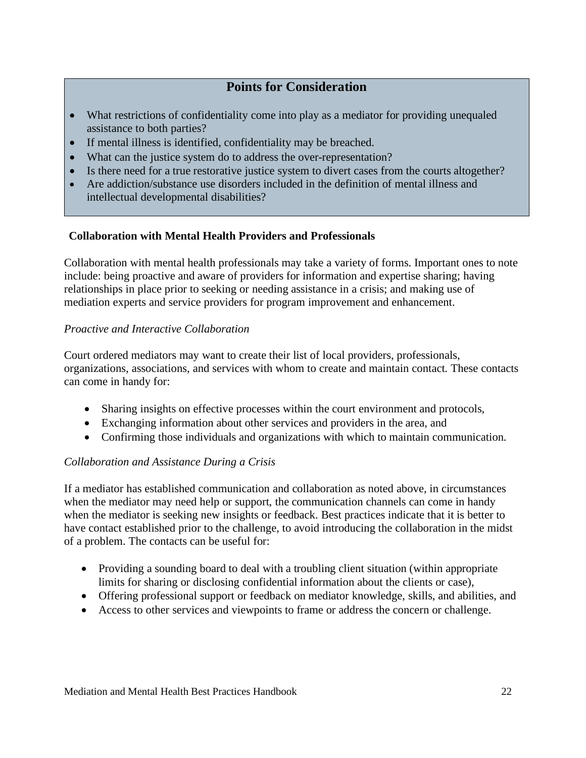# **Points for Consideration**

- What restrictions of confidentiality come into play as a mediator for providing unequaled assistance to both parties?
- If mental illness is identified, confidentiality may be breached.
- What can the justice system do to address the over-representation?
- Is there need for a true restorative justice system to divert cases from the courts altogether?
- Are addiction/substance use disorders included in the definition of mental illness and intellectual developmental disabilities?

## <span id="page-21-0"></span>**Collaboration with Mental Health Providers and Professionals**

Collaboration with mental health professionals may take a variety of forms. Important ones to note include: being proactive and aware of providers for information and expertise sharing; having relationships in place prior to seeking or needing assistance in a crisis; and making use of mediation experts and service providers for program improvement and enhancement.

## *Proactive and Interactive Collaboration*

Court ordered mediators may want to create their list of local providers, professionals, organizations, associations, and services with whom to create and maintain contact. These contacts can come in handy for:

- Sharing insights on effective processes within the court environment and protocols,
- Exchanging information about other services and providers in the area, and
- Confirming those individuals and organizations with which to maintain communication.

#### *Collaboration and Assistance During a Crisis*

If a mediator has established communication and collaboration as noted above, in circumstances when the mediator may need help or support, the communication channels can come in handy when the mediator is seeking new insights or feedback. Best practices indicate that it is better to have contact established prior to the challenge, to avoid introducing the collaboration in the midst of a problem. The contacts can be useful for:

- Providing a sounding board to deal with a troubling client situation (within appropriate limits for sharing or disclosing confidential information about the clients or case),
- Offering professional support or feedback on mediator knowledge, skills, and abilities, and
- Access to other services and viewpoints to frame or address the concern or challenge.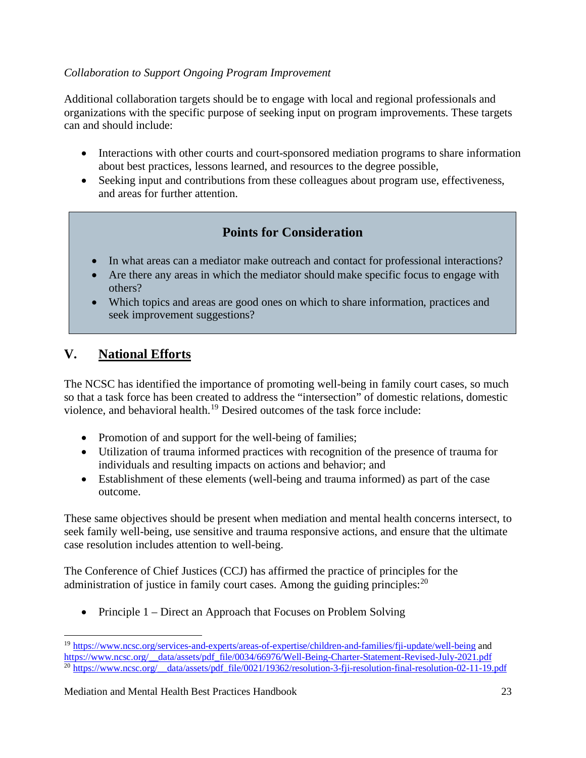# *Collaboration to Support Ongoing Program Improvement*

Additional collaboration targets should be to engage with local and regional professionals and organizations with the specific purpose of seeking input on program improvements. These targets can and should include:

- Interactions with other courts and court-sponsored mediation programs to share information about best practices, lessons learned, and resources to the degree possible,
- Seeking input and contributions from these colleagues about program use, effectiveness, and areas for further attention.

# **Points for Consideration**

- In what areas can a mediator make outreach and contact for professional interactions?
- Are there any areas in which the mediator should make specific focus to engage with others?
- Which topics and areas are good ones on which to share information, practices and seek improvement suggestions?

# <span id="page-22-0"></span>**V. National Efforts**

The NCSC has identified the importance of promoting well-being in family court cases, so much so that a task force has been created to address the "intersection" of domestic relations, domestic violence, and behavioral health.[19](#page-22-1) Desired outcomes of the task force include:

- Promotion of and support for the well-being of families;
- Utilization of trauma informed practices with recognition of the presence of trauma for individuals and resulting impacts on actions and behavior; and
- Establishment of these elements (well-being and trauma informed) as part of the case outcome.

These same objectives should be present when mediation and mental health concerns intersect, to seek family well-being, use sensitive and trauma responsive actions, and ensure that the ultimate case resolution includes attention to well-being.

The Conference of Chief Justices (CCJ) has affirmed the practice of principles for the administration of justice in family court cases. Among the guiding principles:<sup>[20](#page-22-2)</sup>

• Principle 1 – Direct an Approach that Focuses on Problem Solving

<span id="page-22-2"></span><span id="page-22-1"></span><sup>19</sup> <https://www.ncsc.org/services-and-experts/areas-of-expertise/children-and-families/fji-update/well-being> and [https://www.ncsc.org/\\_\\_data/assets/pdf\\_file/0034/66976/Well-Being-Charter-Statement-Revised-July-2021.pdf](https://www.ncsc.org/__data/assets/pdf_file/0034/66976/Well-Being-Charter-Statement-Revised-July-2021.pdf) <sup>20</sup> https://www.ncsc.org/ data/assets/pdf\_file/0021/19362/resolution-3-fji-resolution-final-resolution-02-11-19.pdf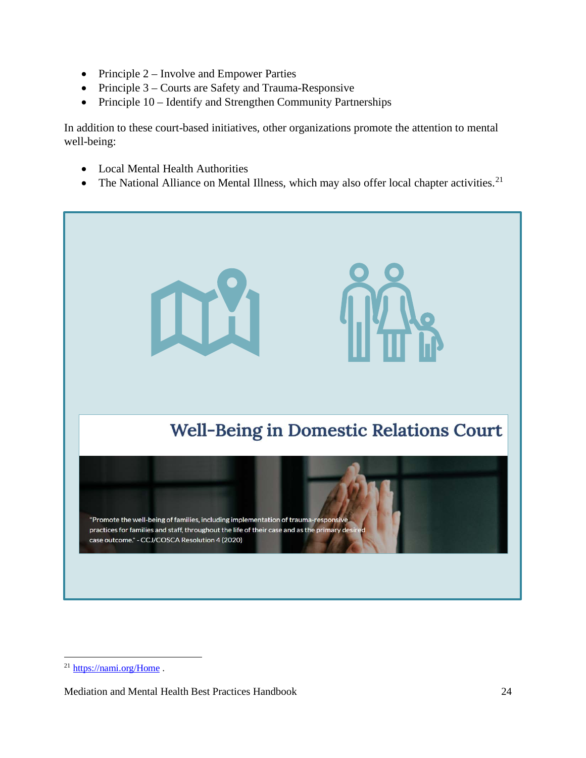- Principle 2 Involve and Empower Parties
- Principle 3 Courts are Safety and Trauma-Responsive
- Principle 10 Identify and Strengthen Community Partnerships

In addition to these court-based initiatives, other organizations promote the attention to mental well-being:

- Local Mental Health Authorities
- The National Alliance on Mental Illness, which may also offer local chapter activities.<sup>[21](#page-23-0)</sup>



<span id="page-23-0"></span><sup>&</sup>lt;sup>21</sup> <https://nami.org/Home>.

Mediation and Mental Health Best Practices Handbook 24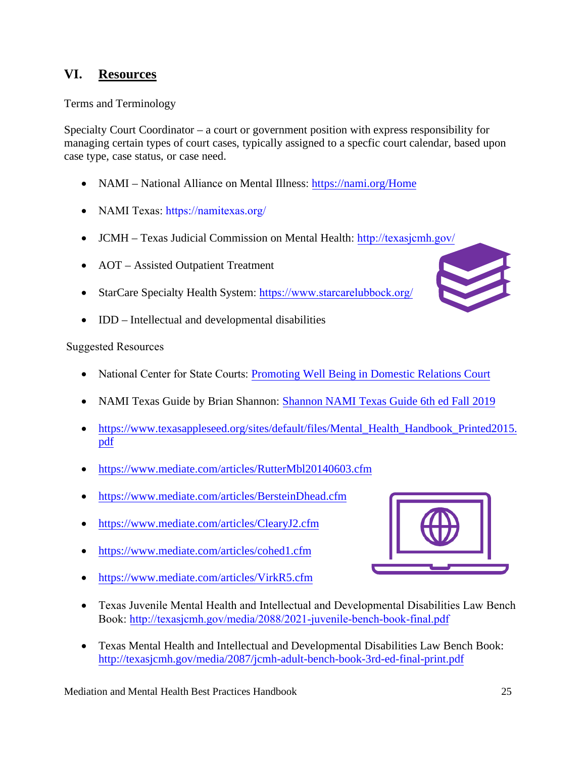# <span id="page-24-0"></span>**VI. Resources**

<span id="page-24-1"></span>Terms and Terminology

Specialty Court Coordinator – a court or government position with express responsibility for managing certain types of court cases, typically assigned to a specfic court calendar, based upon case type, case status, or case need.

- NAMI National Alliance on Mental Illness: https[://nami.org/Home](https://nami.org/Home)
- NAMI Texas: <https://namitexas.org/>
- JCMH Texas Judicial Commission on Mental Health: <http://texasjcmh.gov/>
- AOT Assisted Outpati[ent](https://www.starcarelubbock.org/) Treatment
- StarCare Specialty Health System: <https://www.starcarelubbock.org/>
- <span id="page-24-2"></span>• IDD – Intellectual and developmental disabilities

## Suggested Resources

- National Center for State Courts: Promoting Well [Being in Domestic](https://www.ncsc.org/services-and-experts/areas-of-expertise/children-and-families/fji-update/well-being) Relations Court
- NAMI Texas Guide by Brian Shannon: [Shannon NAMI Texas Guide 6th ed Fall 2019](https://3394qh4fg22b3jpwm94480xg-wpengine.netdna-ssl.com/wp-content/uploads/sites/12/2019/10/Shannon-6th-Edition-Oct-2019-for-NAMI-Texas-website.pdf)
- https://www.texasappleseed.org/sites/default/files/Mental Health Handbook Printed2015. pdf
- [https://www.mediate.com/articles/RutterMbl20140603](https://www.mediate.com/articles/BersteinDhead.cfm).cfm
- [https://www.mediate.com/articles/BersteinDhead](https://www.mediate.com/articles/ClearyJ2.cfm).cfm
- [https://www.mediate.com/articles/ClearyJ2.cfm](https://www.mediate.com/articles/cohed1.cfm)
- [https://www.mediate.com/articles/cohed1.cfm](https://www.mediate.com/articles/VirkR5.cfm)
- <https://www.mediate.com/articles/VirkR5.cfm>



- Texas Juvenile Mental Health and Intellectual and Developmental Disabilities Law Bench Book: <http://texasjcmh.gov/media/2088/2021-juvenile-bench-book-final.pdf>
- Texas Mental Health and Intellectual [and Developmental](http://texasjcmh.gov/media/2087/jcmh-adult-bench-book-3rd-ed-final-print.pdf) Disabilities Law Bench Book: http://texasjcmh.gov/media/2087/jcmh-adult-bench-book-3rd-ed-final-print.pdf

Mediation and Mental Health Best Practices Handbook 25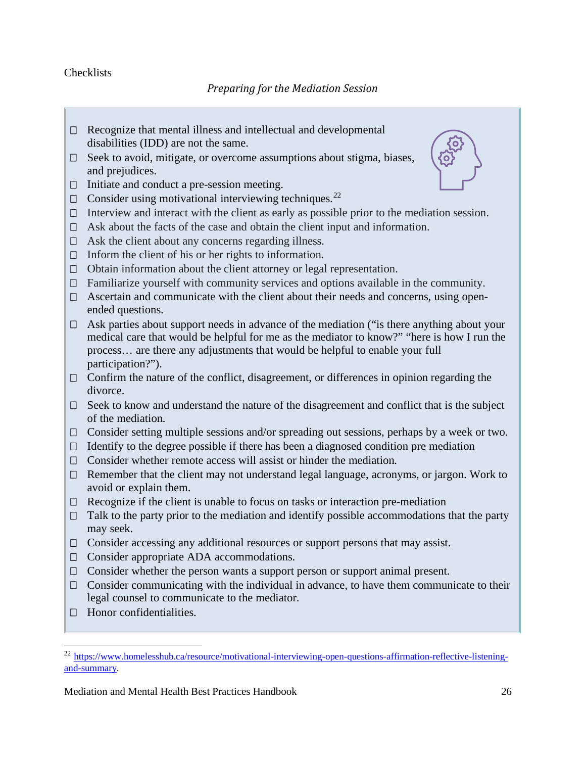## <span id="page-25-0"></span>**Checklists**

- $\Box$  Recognize that mental illness and intellectual and developmental disabilities (IDD) are not the same.
- □ Seek to avoid, mitigate, or overcome assumptions about stigma, biases, and prejudices.
- $\Box$  Initiate and conduct a pre-session meeting.
- $\Box$  Consider using motivational interviewing techniques.<sup>[22](#page-25-1)</sup>
- $\Box$  Interview and interact with the client as early as possible prior to the mediation session.
- $\Box$  Ask about the facts of the case and obtain the client input and information.
- $\Box$  Ask the client about any concerns regarding illness.
- $\Box$  Inform the client of his or her rights to information.
- $\Box$  Obtain information about the client attorney or legal representation.
- $\Box$  Familiarize yourself with community services and options available in the community.
- $\Box$  Ascertain and communicate with the client about their needs and concerns, using openended questions.
- $\Box$  Ask parties about support needs in advance of the mediation ("is there anything about your medical care that would be helpful for me as the mediator to know?" "here is how I run the process… are there any adjustments that would be helpful to enable your full participation?").
- $\Box$  Confirm the nature of the conflict, disagreement, or differences in opinion regarding the divorce.
- $\Box$  Seek to know and understand the nature of the disagreement and conflict that is the subject of the mediation.
- $\Box$  Consider setting multiple sessions and/or spreading out sessions, perhaps by a week or two.
- $\Box$  Identify to the degree possible if there has been a diagnosed condition pre mediation
- $\Box$  Consider whether remote access will assist or hinder the mediation.
- $\Box$  Remember that the client may not understand legal language, acronyms, or jargon. Work to avoid or explain them.
- $\Box$  Recognize if the client is unable to focus on tasks or interaction pre-mediation
- $\Box$  Talk to the party prior to the mediation and identify possible accommodations that the party may seek.
- $\Box$  Consider accessing any additional resources or support persons that may assist.
- □ Consider appropriate ADA accommodations.
- $\Box$  Consider whether the person wants a support person or support animal present.
- $\Box$  Consider communicating with the individual in advance, to have them communicate to their legal counsel to communicate to the mediator.
- $\Box$  Honor confidentialities.



<span id="page-25-1"></span><sup>&</sup>lt;sup>22</sup> [https://www.homelesshub.ca/resource/motivational-interviewing-open-questions-affirmation-reflective-listening](https://www.homelesshub.ca/resource/motivational-interviewing-open-questions-affirmation-reflective-listening-and-summary)[and-summary.](https://www.homelesshub.ca/resource/motivational-interviewing-open-questions-affirmation-reflective-listening-and-summary)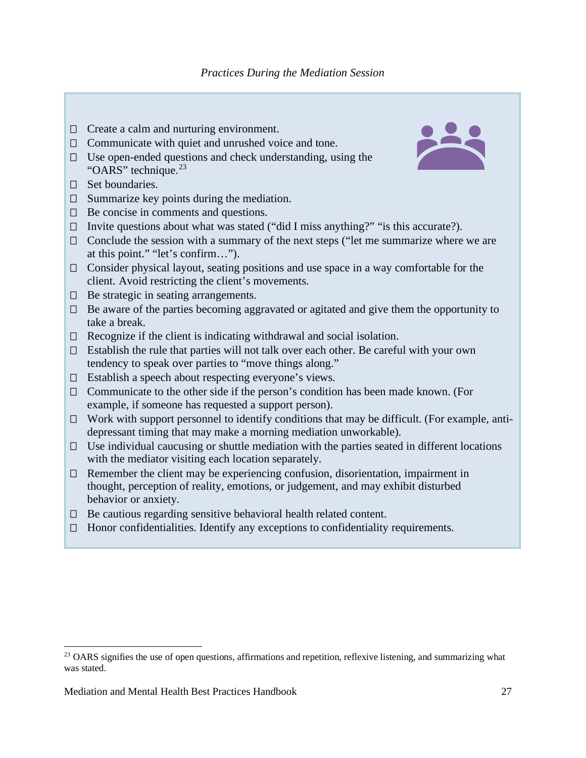- $\Box$  Create a calm and nurturing environment.
- $\Box$  Communicate with quiet and unrushed voice and tone.
- $\Box$  Use open-ended questions and check understanding, using the "OARS" technique. $^{23}$  $^{23}$  $^{23}$
- $\Box$  Set boundaries.
- $\Box$  Summarize key points during the mediation.
- $\Box$  Be concise in comments and questions.
- $\Box$  Invite questions about what was stated ("did I miss anything?" "is this accurate?).
- $\Box$  Conclude the session with a summary of the next steps ("let me summarize where we are at this point." "let's confirm…").
- $\Box$  Consider physical layout, seating positions and use space in a way comfortable for the client. Avoid restricting the client's movements.
- $\Box$  Be strategic in seating arrangements.
- $\Box$  Be aware of the parties becoming aggravated or agitated and give them the opportunity to take a break.
- $\Box$  Recognize if the client is indicating withdrawal and social isolation.
- $\Box$  Establish the rule that parties will not talk over each other. Be careful with your own tendency to speak over parties to "move things along."
- $\Box$  Establish a speech about respecting everyone's views.
- $\Box$  Communicate to the other side if the person's condition has been made known. (For example, if someone has requested a support person).
- $\Box$  Work with support personnel to identify conditions that may be difficult. (For example, antidepressant timing that may make a morning mediation unworkable).
- $\Box$  Use individual caucusing or shuttle mediation with the parties seated in different locations with the mediator visiting each location separately.
- $\Box$  Remember the client may be experiencing confusion, disorientation, impairment in thought, perception of reality, emotions, or judgement, and may exhibit disturbed behavior or anxiety.
- $\Box$  Be cautious regarding sensitive behavioral health related content.
- $\Box$  Honor confidentialities. Identify any exceptions to confidentiality requirements.



<span id="page-26-0"></span><sup>&</sup>lt;sup>23</sup> OARS signifies the use of open questions, affirmations and repetition, reflexive listening, and summarizing what was stated.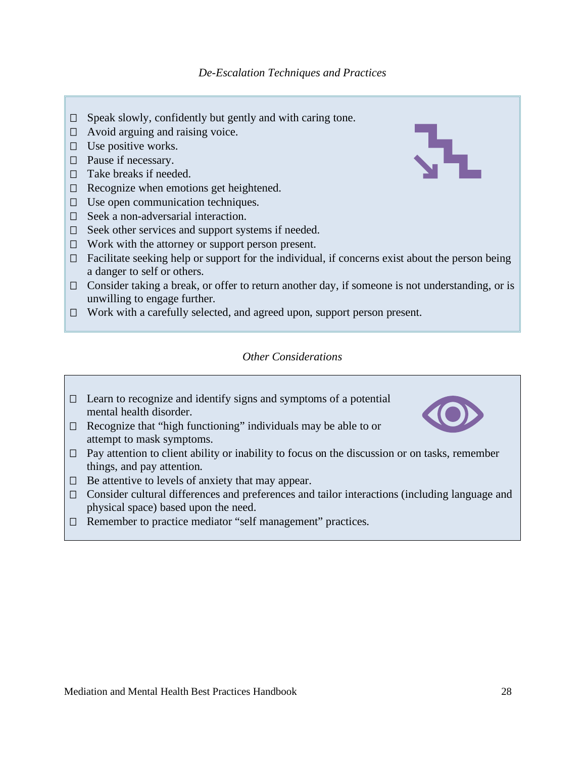- $\Box$  Speak slowly, confidently but gently and with caring tone.
- $\Box$  Avoid arguing and raising voice.
- $\Box$  Use positive works.
- $\Box$  Pause if necessary.
- $\Box$  Take breaks if needed.
- $\Box$  Recognize when emotions get heightened.
- $\Box$  Use open communication techniques.
- $\Box$  Seek a non-adversarial interaction.
- $\Box$  Seek other services and support systems if needed.
- $\Box$  Work with the attorney or support person present.
- $\Box$  Facilitate seeking help or support for the individual, if concerns exist about the person being a danger to self or others.
- $\Box$  Consider taking a break, or offer to return another day, if someone is not understanding, or is unwilling to engage further.
- □ Work with a carefully selected, and agreed upon, support person present.

#### *Other Considerations*

- $\Box$  Learn to recognize and identify signs and symptoms of a potential mental health disorder.
- $\Box$  Recognize that "high functioning" individuals may be able to or attempt to mask symptoms.
- $\Box$  Pay attention to client ability or inability to focus on the discussion or on tasks, remember things, and pay attention.
- $\Box$  Be attentive to levels of anxiety that may appear.
- Consider cultural differences and preferences and tailor interactions (including language and physical space) based upon the need.
- □ Remember to practice mediator "self management" practices.

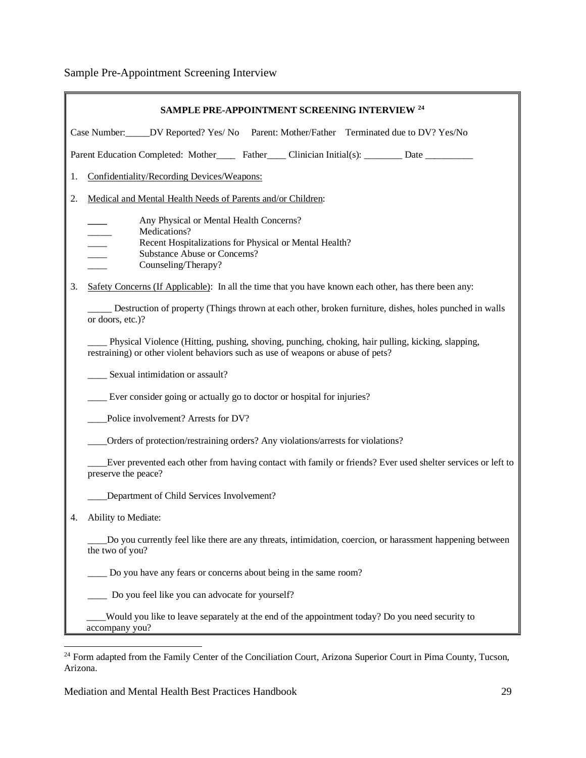Sample Pre-Appointment Screening Interview

| SAMPLE PRE-APPOINTMENT SCREENING INTERVIEW <sup>24</sup>                                    |                                                                                                                                                                                       |  |  |
|---------------------------------------------------------------------------------------------|---------------------------------------------------------------------------------------------------------------------------------------------------------------------------------------|--|--|
| Case Number: ______ DV Reported? Yes/ No Parent: Mother/Father Terminated due to DV? Yes/No |                                                                                                                                                                                       |  |  |
|                                                                                             | Parent Education Completed: Mother Father Clinician Initial(s): Date                                                                                                                  |  |  |
| 1.                                                                                          | Confidentiality/Recording Devices/Weapons:                                                                                                                                            |  |  |
| 2.                                                                                          | Medical and Mental Health Needs of Parents and/or Children:                                                                                                                           |  |  |
|                                                                                             | Any Physical or Mental Health Concerns?<br>Medications?<br>Recent Hospitalizations for Physical or Mental Health?<br>Substance Abuse or Concerns?<br>Counseling/Therapy?              |  |  |
| 3.                                                                                          | Safety Concerns (If Applicable): In all the time that you have known each other, has there been any:                                                                                  |  |  |
|                                                                                             | Destruction of property (Things thrown at each other, broken furniture, dishes, holes punched in walls<br>or doors, etc.)?                                                            |  |  |
|                                                                                             | Physical Violence (Hitting, pushing, shoving, punching, choking, hair pulling, kicking, slapping,<br>restraining) or other violent behaviors such as use of weapons or abuse of pets? |  |  |
|                                                                                             | Sexual intimidation or assault?                                                                                                                                                       |  |  |
|                                                                                             | Ever consider going or actually go to doctor or hospital for injuries?                                                                                                                |  |  |
|                                                                                             | Police involvement? Arrests for DV?                                                                                                                                                   |  |  |
|                                                                                             | Orders of protection/restraining orders? Any violations/arrests for violations?                                                                                                       |  |  |
|                                                                                             | Ever prevented each other from having contact with family or friends? Ever used shelter services or left to<br>preserve the peace?                                                    |  |  |
|                                                                                             | Department of Child Services Involvement?                                                                                                                                             |  |  |
|                                                                                             | Ability to Mediate:                                                                                                                                                                   |  |  |
|                                                                                             | Do you currently feel like there are any threats, intimidation, coercion, or harassment happening between<br>the two of you?                                                          |  |  |
|                                                                                             | Do you have any fears or concerns about being in the same room?                                                                                                                       |  |  |
|                                                                                             | Do you feel like you can advocate for yourself?                                                                                                                                       |  |  |
|                                                                                             | Would you like to leave separately at the end of the appointment today? Do you need security to<br>accompany you?                                                                     |  |  |

<span id="page-28-0"></span><sup>&</sup>lt;sup>24</sup> Form adapted from the Family Center of the Conciliation Court, Arizona Superior Court in Pima County, Tucson, Arizona.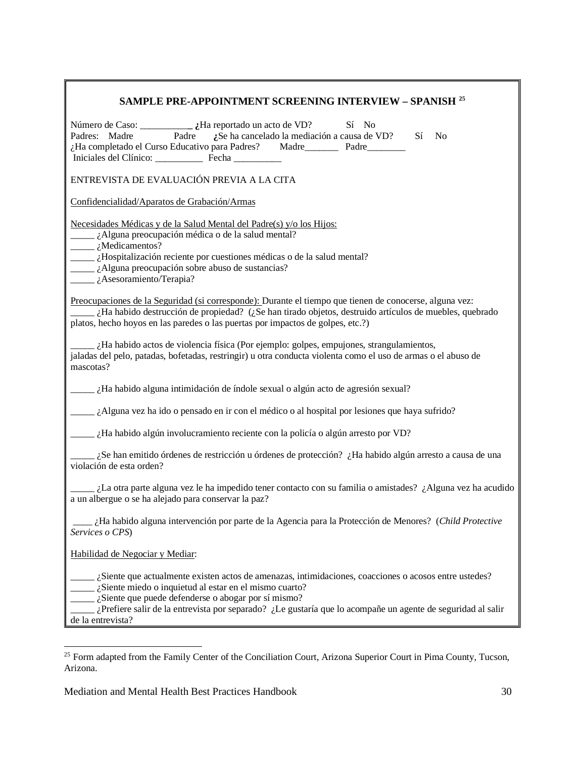| SAMPLE PRE-APPOINTMENT SCREENING INTERVIEW - SPANISH <sup>25</sup>                                                                                                                                                                                                                                                                                         |  |  |
|------------------------------------------------------------------------------------------------------------------------------------------------------------------------------------------------------------------------------------------------------------------------------------------------------------------------------------------------------------|--|--|
| Sí No<br>Padre<br>: Se ha cancelado la mediación a causa de VD? Sí<br>Padres: Madre<br>N <sub>0</sub><br>¿Ha completado el Curso Educativo para Padres? Madre Padre Padre                                                                                                                                                                                  |  |  |
| ENTREVISTA DE EVALUACIÓN PREVIA A LA CITA                                                                                                                                                                                                                                                                                                                  |  |  |
| Confidencialidad/Aparatos de Grabación/Armas                                                                                                                                                                                                                                                                                                               |  |  |
| Necesidades Médicas y de la Salud Mental del Padre(s) y/o los Hijos:<br>¿Alguna preocupación médica o de la salud mental?<br>$\frac{1}{\text{Nedicamentos}}$ ?<br>La idea de la salud mental?<br><i>Lacelange is</i> Alguna preocupación sobre abuso de sustancias?<br>$\frac{1}{4}$ Asesoramiento/Terapia?                                                |  |  |
| Preocupaciones de la Seguridad (si corresponde): Durante el tiempo que tienen de conocerse, alguna vez:<br>¿Ha habido destrucción de propiedad? (¿Se han tirado objetos, destruido artículos de muebles, quebrado<br>platos, hecho hoyos en las paredes o las puertas por impactos de golpes, etc.?)                                                       |  |  |
| $\mu$ i.Ha habido actos de violencia física (Por ejemplo: golpes, empujones, strangulamientos,<br>jaladas del pelo, patadas, bofetadas, restringir) u otra conducta violenta como el uso de armas o el abuso de<br>mascotas?                                                                                                                               |  |  |
| $\mu$ il a habido alguna intimidación de índole sexual o algún acto de agresión sexual?                                                                                                                                                                                                                                                                    |  |  |
| $\frac{1}{2}$ (Alguna vez ha ido o pensado en ir con el médico o al hospital por lesiones que haya sufrido?                                                                                                                                                                                                                                                |  |  |
| $\frac{1}{1-\epsilon}$ ¿Ha habido algún involucramiento reciente con la policía o algún arresto por VD?                                                                                                                                                                                                                                                    |  |  |
| $\lambda$ . Se han emitido órdenes de restricción u órdenes de protección? $\lambda$ Ha habido algún arresto a causa de una<br>violación de esta orden?                                                                                                                                                                                                    |  |  |
| La otra parte alguna vez le ha impedido tener contacto con su familia o amistades? ¿Alguna vez ha acudido<br>a un albergue o se ha alejado para conservar la paz?                                                                                                                                                                                          |  |  |
| ¿Ha habido alguna intervención por parte de la Agencia para la Protección de Menores? (Child Protective<br>Services o CPS)                                                                                                                                                                                                                                 |  |  |
| Habilidad de Negociar y Mediar:                                                                                                                                                                                                                                                                                                                            |  |  |
| ¿Siente que actualmente existen actos de amenazas, intimidaciones, coacciones o acosos entre ustedes?<br>¿Siente miedo o inquietud al estar en el mismo cuarto?<br>¿Siente que puede defenderse o abogar por sí mismo?<br>¿Prefiere salir de la entrevista por separado? ¿Le gustaría que lo acompañe un agente de seguridad al salir<br>de la entrevista? |  |  |

<span id="page-29-0"></span><sup>&</sup>lt;sup>25</sup> Form adapted from the Family Center of the Conciliation Court, Arizona Superior Court in Pima County, Tucson, Arizona.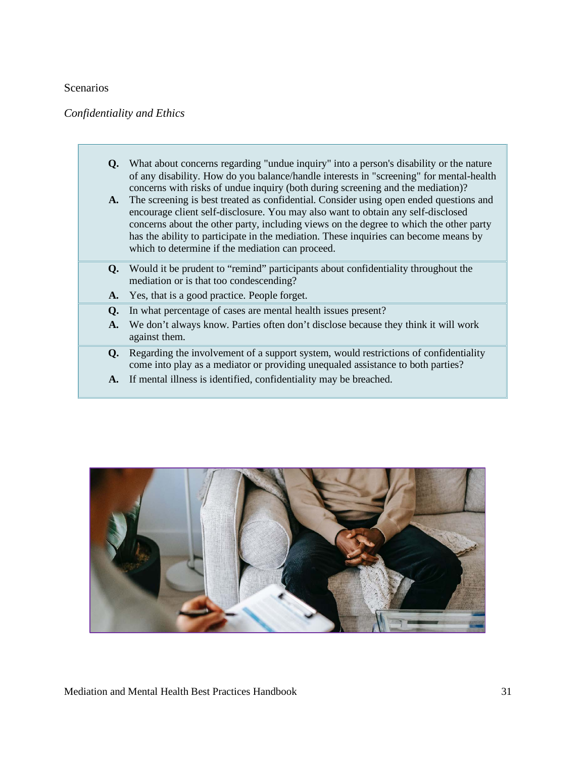#### <span id="page-30-0"></span>Scenarios

## *Confidentiality and Ethics*

- **Q.** What about concerns regarding "undue inquiry" into a person's disability or the nature of any disability. How do you balance/handle interests in "screening" for mental-health concerns with risks of undue inquiry (both during screening and the mediation)?
- **A.** The screening is best treated as confidential. Consider using open ended questions and encourage client self-disclosure. You may also want to obtain any self-disclosed concerns about the other party, including views on the degree to which the other party has the ability to participate in the mediation. These inquiries can become means by which to determine if the mediation can proceed.
- **Q.** Would it be prudent to "remind" participants about confidentiality throughout the mediation or is that too condescending?
- **A.** Yes, that is a good practice. People forget.
- **Q.** In what percentage of cases are mental health issues present?
- **A.** We don't always know. Parties often don't disclose because they think it will work against them.
- **Q.** Regarding the involvement of a support system, would restrictions of confidentiality come into play as a mediator or providing unequaled assistance to both parties?
- **A.** If mental illness is identified, confidentiality may be breached.

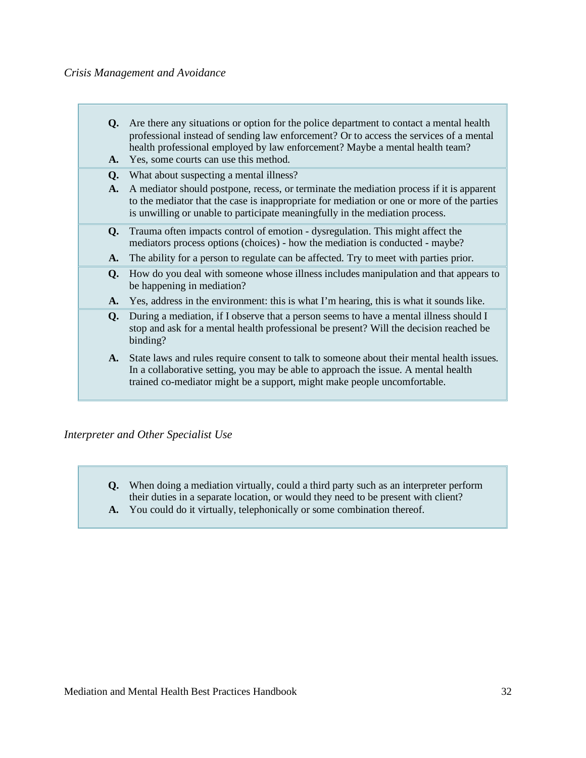#### *Crisis Management and Avoidance*

| Q.<br>A.       | Are there any situations or option for the police department to contact a mental health<br>professional instead of sending law enforcement? Or to access the services of a mental<br>health professional employed by law enforcement? Maybe a mental health team?<br>Yes, some courts can use this method. |
|----------------|------------------------------------------------------------------------------------------------------------------------------------------------------------------------------------------------------------------------------------------------------------------------------------------------------------|
| Q.             | What about suspecting a mental illness?                                                                                                                                                                                                                                                                    |
| $\mathbf{A}$ . | A mediator should postpone, recess, or terminate the mediation process if it is apparent<br>to the mediator that the case is inappropriate for mediation or one or more of the parties<br>is unwilling or unable to participate meaningfully in the mediation process.                                     |
| O.             | Trauma often impacts control of emotion - dysregulation. This might affect the<br>mediators process options (choices) - how the mediation is conducted - maybe?                                                                                                                                            |
| A.             | The ability for a person to regulate can be affected. Try to meet with parties prior.                                                                                                                                                                                                                      |
| O.             | How do you deal with someone whose illness includes manipulation and that appears to<br>be happening in mediation?                                                                                                                                                                                         |
| A.             | Yes, address in the environment: this is what I'm hearing, this is what it sounds like.                                                                                                                                                                                                                    |
| Q.             | During a mediation, if I observe that a person seems to have a mental illness should I<br>stop and ask for a mental health professional be present? Will the decision reached be<br>binding?                                                                                                               |
| A.             | State laws and rules require consent to talk to some one about their mental health issues.<br>In a collaborative setting, you may be able to approach the issue. A mental health<br>trained co-mediator might be a support, might make people uncomfortable.                                               |

# *Interpreter and Other Specialist Use*

- **Q.** When doing a mediation virtually, could a third party such as an interpreter perform their duties in a separate location, or would they need to be present with client?
- **A.** You could do it virtually, telephonically or some combination thereof.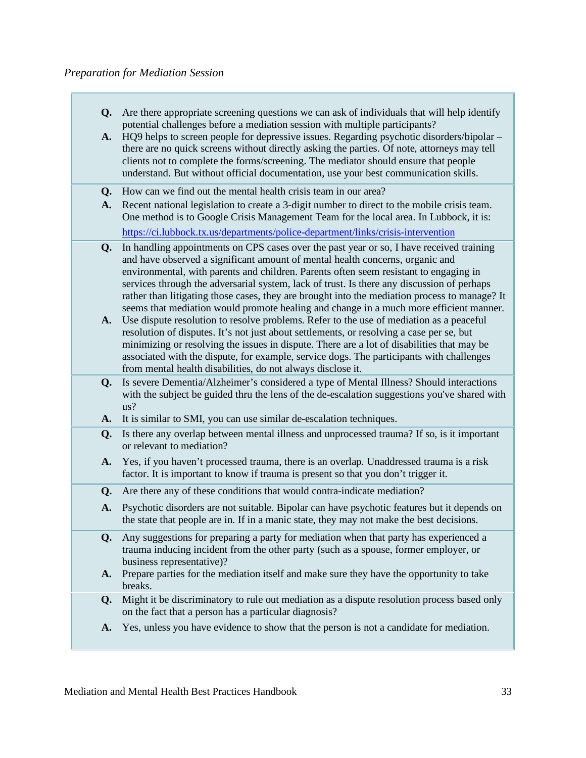| <b>Q.</b> Are there appropriate screening questions we can ask of individuals that will help identify |
|-------------------------------------------------------------------------------------------------------|
| potential challenges before a mediation session with multiple participants?                           |

**A.** HQ9 helps to screen people for depressive issues. Regarding psychotic disorders/bipolar – there are no quick screens without directly asking the parties. Of note, attorneys may tell clients not to complete the forms/screening. The mediator should ensure that people understand. But without official documentation, use your best communication skills.

**Q.** How can we find out the mental health crisis team in our area?

- **A.** Recent national legislation to create a 3-digit number to direct to the mobile crisis team. One method is to Google Crisis Management Team for the local area. In Lubbock, it is: <https://ci.lubbock.tx.us/departments/police-department/links/crisis-intervention>
- **Q.** In handling appointments on CPS cases over the past year or so, I have received training and have observed a significant amount of mental health concerns, organic and environmental, with parents and children. Parents often seem resistant to engaging in services through the adversarial system, lack of trust. Is there any discussion of perhaps rather than litigating those cases, they are brought into the mediation process to manage? It seems that mediation would promote healing and change in a much more efficient manner.
- **A.** Use dispute resolution to resolve problems. Refer to the use of mediation as a peaceful resolution of disputes. It's not just about settlements, or resolving a case per se, but minimizing or resolving the issues in dispute. There are a lot of disabilities that may be associated with the dispute, for example, service dogs. The participants with challenges from mental health disabilities, do not always disclose it.
- **Q.** Is severe Dementia/Alzheimer's considered a type of Mental Illness? Should interactions with the subject be guided thru the lens of the de-escalation suggestions you've shared with us?
- **A.** It is similar to SMI, you can use similar de-escalation techniques.
- **Q.** Is there any overlap between mental illness and unprocessed trauma? If so, is it important or relevant to mediation?
- **A.** Yes, if you haven't processed trauma, there is an overlap. Unaddressed trauma is a risk factor. It is important to know if trauma is present so that you don't trigger it.
- **Q.** Are there any of these conditions that would contra-indicate mediation?
- **A.** Psychotic disorders are not suitable. Bipolar can have psychotic features but it depends on the state that people are in. If in a manic state, they may not make the best decisions.
- **Q.** Any suggestions for preparing a party for mediation when that party has experienced a trauma inducing incident from the other party (such as a spouse, former employer, or business representative)?
- **A.** Prepare parties for the mediation itself and make sure they have the opportunity to take breaks.
- **Q.** Might it be discriminatory to rule out mediation as a dispute resolution process based only on the fact that a person has a particular diagnosis?
- **A.** Yes, unless you have evidence to show that the person is not a candidate for mediation.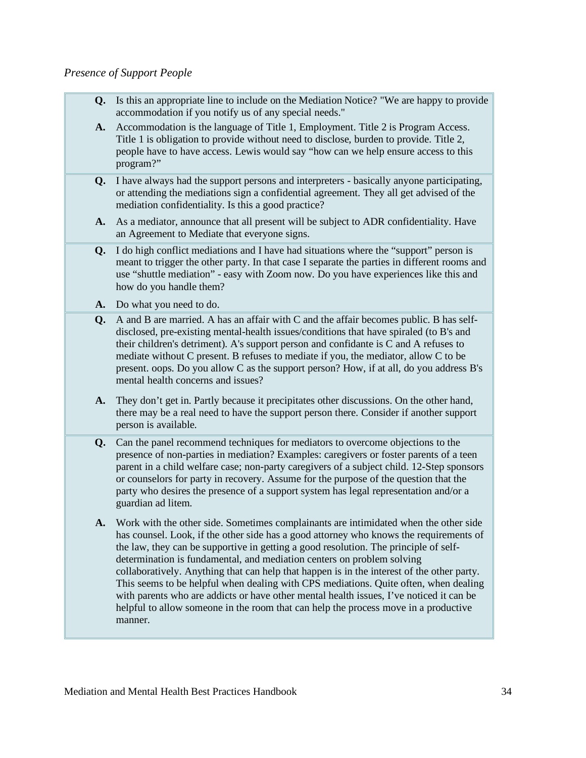#### *Presence of Support People*

- **Q.** Is this an appropriate line to include on the Mediation Notice? "We are happy to provide accommodation if you notify us of any special needs."
- **A.** Accommodation is the language of Title 1, Employment. Title 2 is Program Access. Title 1 is obligation to provide without need to disclose, burden to provide. Title 2, people have to have access. Lewis would say "how can we help ensure access to this program?"
- **Q.** I have always had the support persons and interpreters basically anyone participating, or attending the mediations sign a confidential agreement. They all get advised of the mediation confidentiality. Is this a good practice?
- **A.** As a mediator, announce that all present will be subject to ADR confidentiality. Have an Agreement to Mediate that everyone signs.
- **Q.** I do high conflict mediations and I have had situations where the "support" person is meant to trigger the other party. In that case I separate the parties in different rooms and use "shuttle mediation" - easy with Zoom now. Do you have experiences like this and how do you handle them?
- **A.** Do what you need to do.
- **Q.** A and B are married. A has an affair with C and the affair becomes public. B has selfdisclosed, pre-existing mental-health issues/conditions that have spiraled (to B's and their children's detriment). A's support person and confidante is C and A refuses to mediate without C present. B refuses to mediate if you, the mediator, allow C to be present. oops. Do you allow C as the support person? How, if at all, do you address B's mental health concerns and issues?
- **A.** They don't get in. Partly because it precipitates other discussions. On the other hand, there may be a real need to have the support person there. Consider if another support person is available.
- **Q.** Can the panel recommend techniques for mediators to overcome objections to the presence of non-parties in mediation? Examples: caregivers or foster parents of a teen parent in a child welfare case; non-party caregivers of a subject child. 12-Step sponsors or counselors for party in recovery. Assume for the purpose of the question that the party who desires the presence of a support system has legal representation and/or a guardian ad litem.
- **A.** Work with the other side. Sometimes complainants are intimidated when the other side has counsel. Look, if the other side has a good attorney who knows the requirements of the law, they can be supportive in getting a good resolution. The principle of selfdetermination is fundamental, and mediation centers on problem solving collaboratively. Anything that can help that happen is in the interest of the other party. This seems to be helpful when dealing with CPS mediations. Quite often, when dealing with parents who are addicts or have other mental health issues, I've noticed it can be helpful to allow someone in the room that can help the process move in a productive manner.